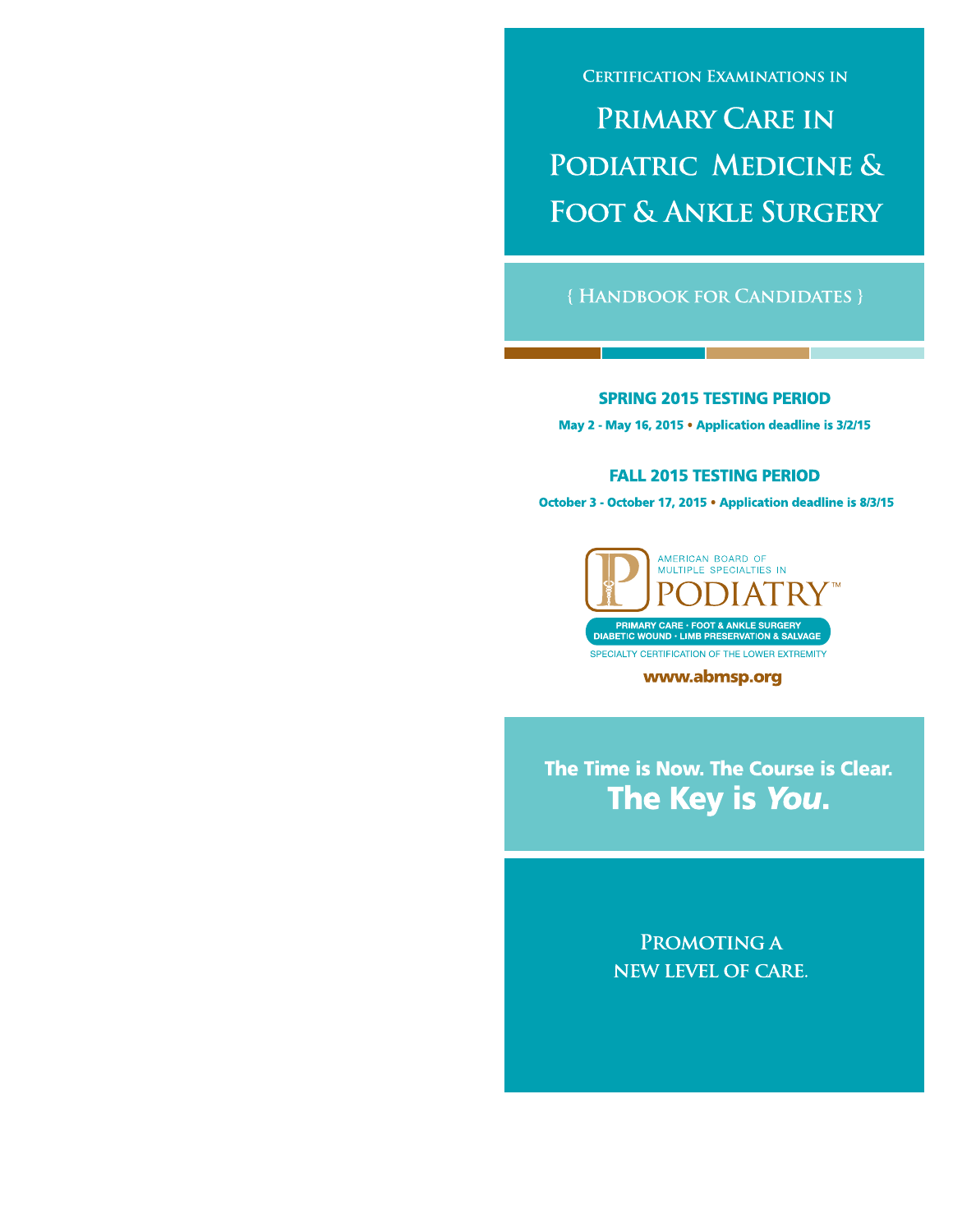**CERTIFICATION EXAMINATIONS IN** 

# **PRIMARY CARE IN** PODIATRIC MEDICINE & **FOOT & ANKLE SURGERY**

#### {HANDBOOK FOR CANDIDATES }

#### **SPRING 2015 TESTING PERIOD** May 2 - May 16, 2015 . Application deadline is 3/2/15

#### **FALL 2015 TESTING PERIOD**

October 3 - October 17, 2015 . Application deadline is 8/3/15



www.abmsp.org

The Time is Now. The Course is Clear. The Key is You.

> PROMOTING A **NEW LEVEL OF CARE.**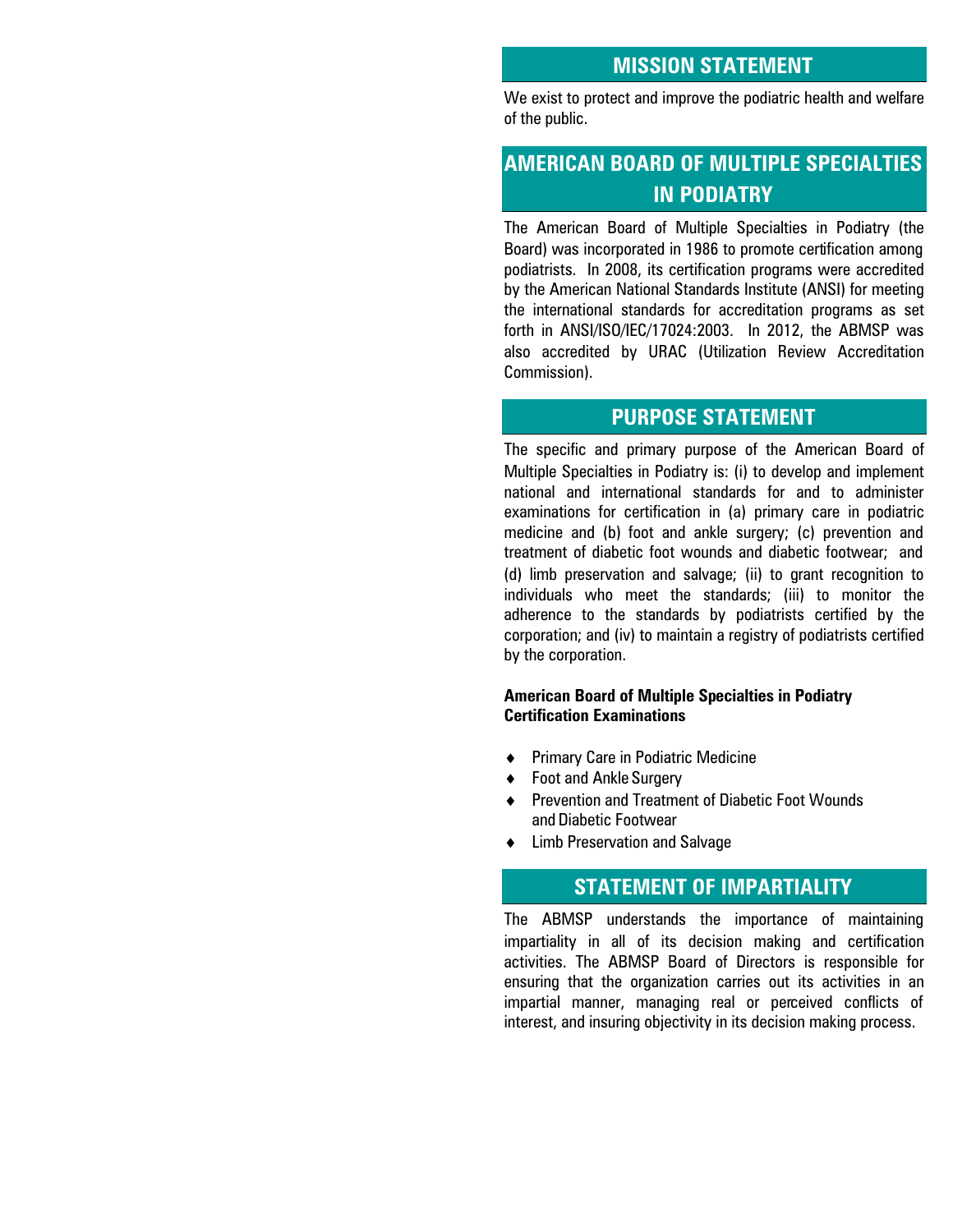### **MISSION STATEMENT**

We exist to protect and improve the podiatric health and welfare of the public.

# **AMERICAN BOARD OF MULTIPLE SPECIALTIES IN PODIATRY**

The American Board of Multiple Specialties in Podiatry (the Board) was incorporated in 1986 to promote certification among podiatrists. In 2008, its certification programs were accredited by the American National Standards Institute (ANSI) for meeting the international standards for accreditation programs as set forth in ANSI/ISO/IEC/17024:2003. In 2012, the ABMSP was also accredited by URAC (Utilization Review Accreditation Commission).

### **PURPOSE STATEMENT**

The specific and primary purpose of the American Board of Multiple Specialties in Podiatry is: (i) to develop and implement national and international standards for and to administer examinations for certification in (a) primary care in podiatric medicine and (b) foot and ankle surgery; (c) prevention and treatment of diabetic foot wounds and diabetic footwear; and (d) limb preservation and salvage; (ii) to grant recognition to individuals who meet the standards; (iii) to monitor the adherence to the standards by podiatrists certified by the corporation; and (iv) to maintain a registry of podiatrists certified by the corporation.

#### **American Board of Multiple Specialties in Podiatry Certification Examinations**

- ◆ Primary Care in Podiatric Medicine
- ◆ Foot and Ankle Surgery
- ◆ Prevention and Treatment of Diabetic Foot Wounds and Diabetic Footwear
- Limb Preservation and Salvage

### **STATEMENT OF IMPARTIALITY**

The ABMSP understands the importance of maintaining impartiality in all of its decision making and certification activities. The ABMSP Board of Directors is responsible for ensuring that the organization carries out its activities in an impartial manner, managing real or perceived conflicts of interest, and insuring objectivity in its decision making process.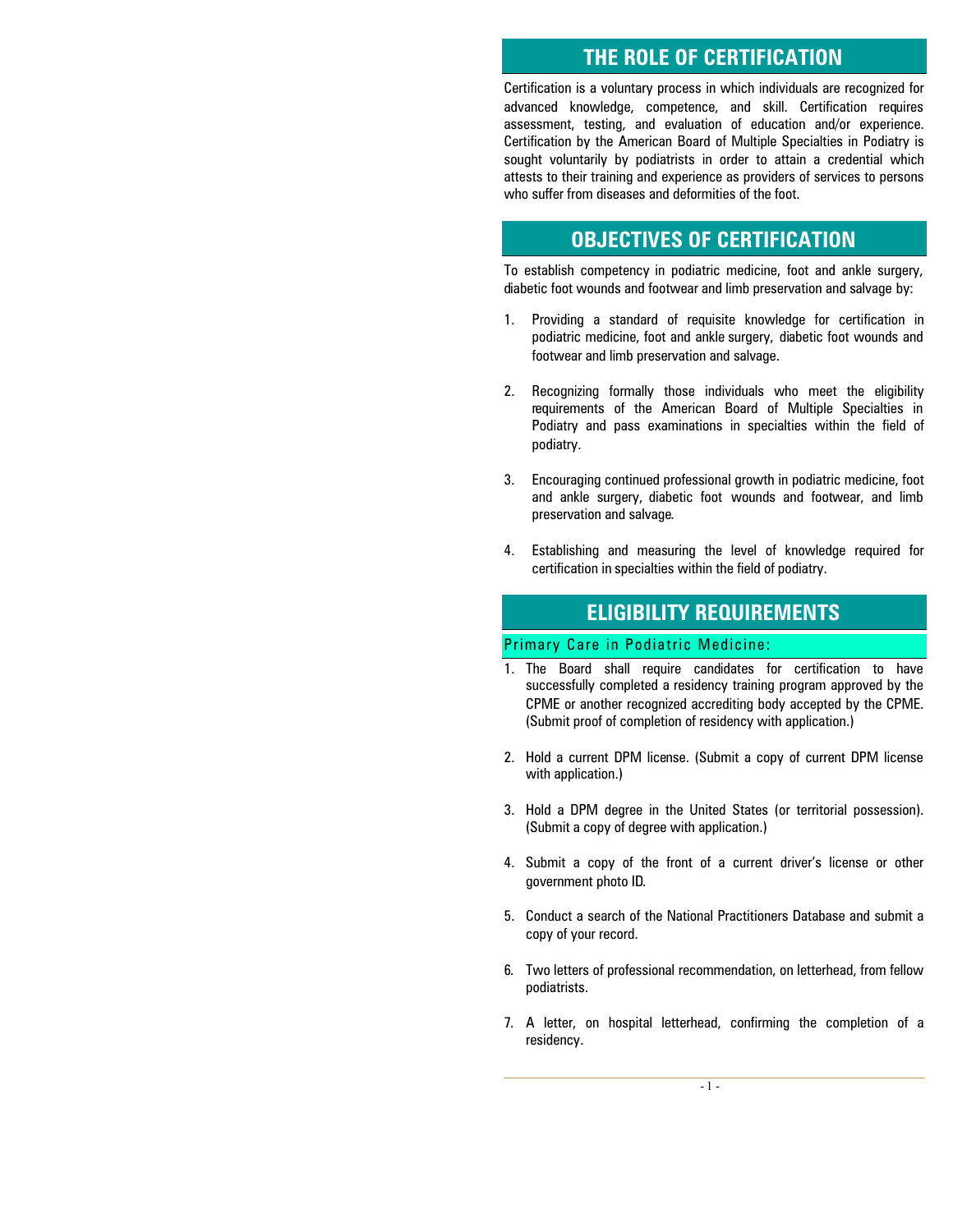### **THE ROLE OF CERTIFICATION**

Certification is a voluntary process in which individuals are recognized for advanced knowledge, competence, and skill. Certification requires assessment, testing, and evaluation of education and/or experience. Certification by the American Board of Multiple Specialties in Podiatry is sought voluntarily by podiatrists in order to attain a credential which attests to their training and experience as providers of services to persons who suffer from diseases and deformities of the foot.

### **OBJECTIVES OF CERTIFICATION**

To establish competency in podiatric medicine, foot and ankle surgery, diabetic foot wounds and footwear and limb preservation and salvage by:

- 1. Providing a standard of requisite knowledge for certification in podiatric medicine, foot and ankle surgery, diabetic foot wounds and footwear and limb preservation and salvage.
- 2. Recognizing formally those individuals who meet the eligibility requirements of the American Board of Multiple Specialties in Podiatry and pass examinations in specialties within the field of podiatry.
- 3. Encouraging continued professional growth in podiatric medicine, foot and ankle surgery, diabetic foot wounds and footwear, and limb preservation and salvage.
- 4. Establishing and measuring the level of knowledge required for certification in specialties within the field of podiatry.

### **ELIGIBILITY REQUIREMENTS**

#### Primary Care in Podiatric Medicine:

- 1. The Board shall require candidates for certification to have successfully completed a residency training program approved by the CPME or another recognized accrediting body accepted by the CPME. (Submit proof of completion of residency with application.)
- 2. Hold a current DPM license. (Submit a copy of current DPM license with application.)
- 3. Hold a DPM degree in the United States (or territorial possession). (Submit a copy of degree with application.)
- 4. Submit a copy of the front of a current driver's license or other government photo ID.
- 5. Conduct a search of the National Practitioners Database and submit a copy of your record.
- 6. Two letters of professional recommendation, on letterhead, from fellow podiatrists.
- 7. A letter, on hospital letterhead, confirming the completion of a residency.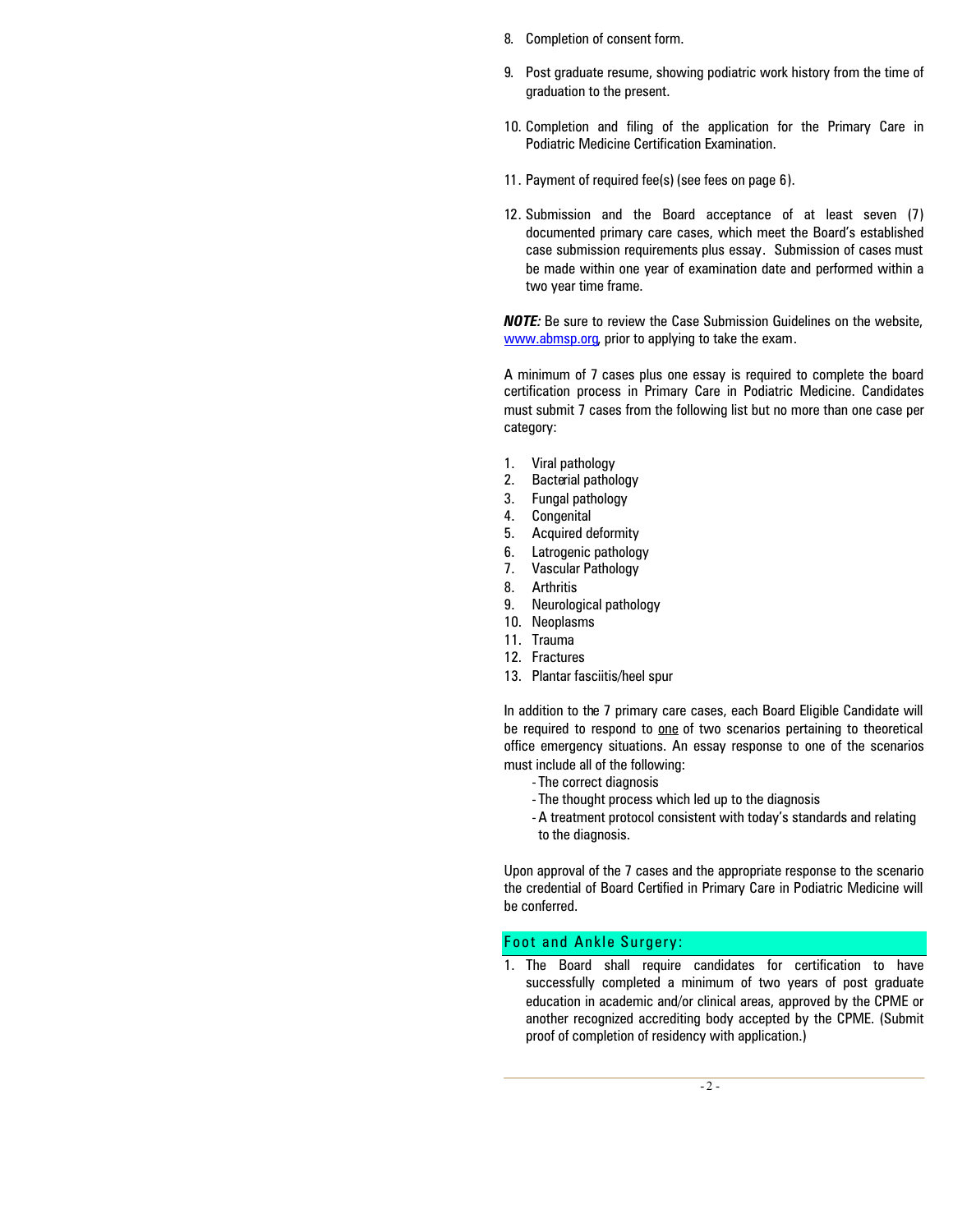- 8. Completion of consent form.
- 9. Post graduate resume, showing podiatric work history from the time of graduation to the present.
- 10. Completion and filing of the application for the Primary Care in Podiatric Medicine Certification Examination.
- 11. Payment of required fee(s) (see fees on page 6).
- 12. Submission and the Board acceptance of at least seven (7) documented primary care cases, which meet the Board's established case submission requirements plus essay. Submission of cases must be made within one year of examination date and performed within a two year time frame.

*NOTE:* Be sure to review the Case Submission Guidelines on the website, www.abmsp.org, prior to applying to take the exam.

A minimum of 7 cases plus one essay is required to complete the board certification process in Primary Care in Podiatric Medicine. Candidates must submit 7 cases from the following list but no more than one case per category:

- 1. Viral pathology
- 2. Bacterial pathology
- 3. Fungal pathology
- 4. Congenital
- 5. Acquired deformity
- 6. Latrogenic pathology
- 7. Vascular Pathology
- 8. Arthritis
- 9. Neurological pathology
- 10. Neoplasms
- 11. Trauma
- 12. Fractures
- 13. Plantar fasciitis/heel spur

In addition to the 7 primary care cases, each Board Eligible Candidate will be required to respond to one of two scenarios pertaining to theoretical office emergency situations. An essay response to one of the scenarios must include all of the following:

- The correct diagnosis
- The thought process which led up to the diagnosis
- -A treatment protocol consistent with today's standards and relating to the diagnosis.

Upon approval of the 7 cases and the appropriate response to the scenario the credential of Board Certified in Primary Care in Podiatric Medicine will be conferred.

#### Foot and Ankle Surgery:

1. The Board shall require candidates for certification to have successfully completed a minimum of two years of post graduate education in academic and/or clinical areas, approved by the CPME or another recognized accrediting body accepted by the CPME. (Submit proof of completion of residency with application.)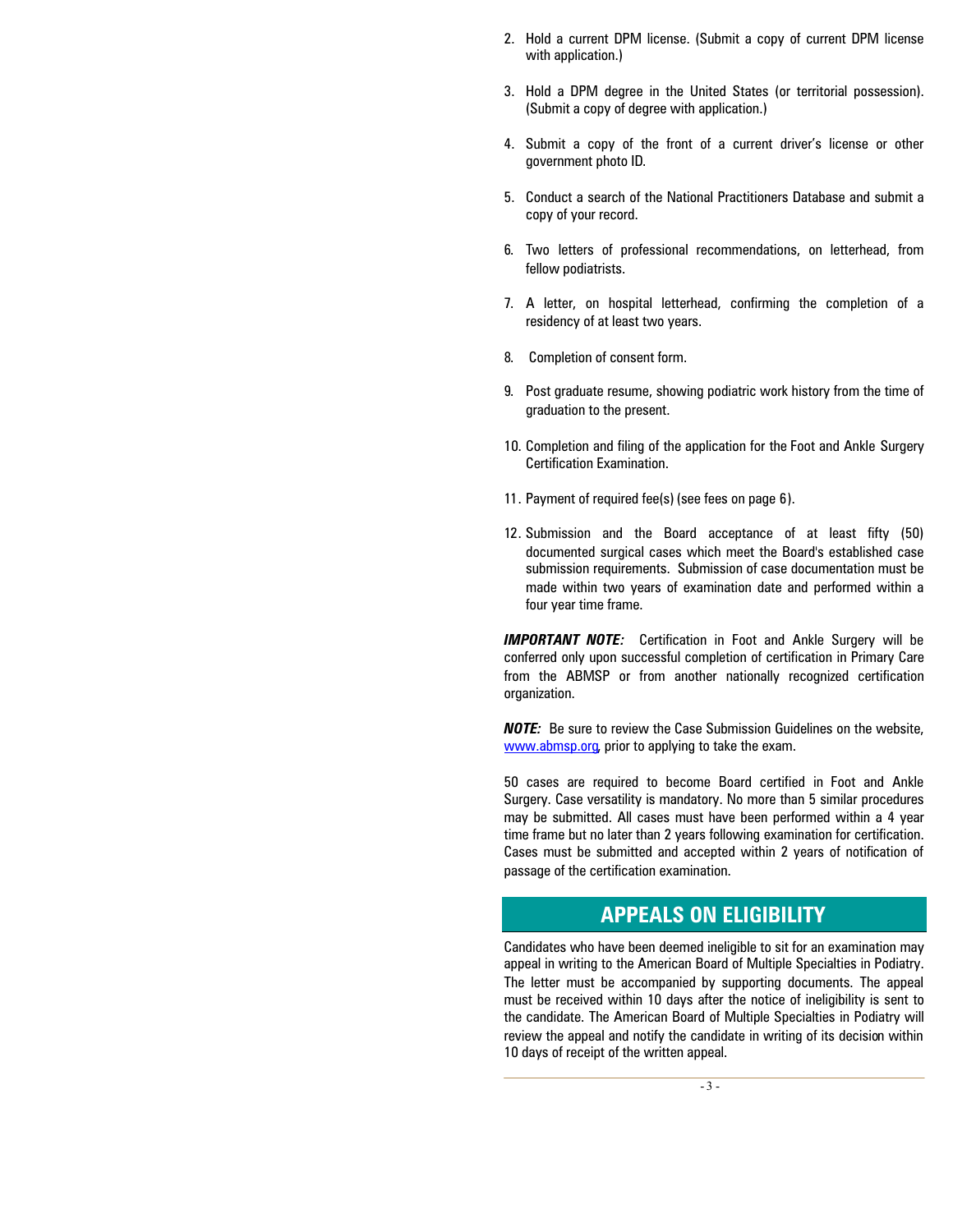- 2. Hold a current DPM license. (Submit a copy of current DPM license with application.)
- 3. Hold a DPM degree in the United States (or territorial possession). (Submit a copy of degree with application.)
- 4. Submit a copy of the front of a current driver's license or other government photo ID.
- 5. Conduct a search of the National Practitioners Database and submit a copy of your record.
- 6. Two letters of professional recommendations, on letterhead, from fellow podiatrists.
- 7. A letter, on hospital letterhead, confirming the completion of a residency of at least two years.
- 8. Completion of consent form.
- 9. Post graduate resume, showing podiatric work history from the time of graduation to the present.
- 10. Completion and filing of the application for the Foot and Ankle Surgery Certification Examination.
- 11. Payment of required fee(s) (see fees on page 6).
- 12. Submission and the Board acceptance of at least fifty (50) documented surgical cases which meet the Board's established case submission requirements. Submission of case documentation must be made within two years of examination date and performed within a four year time frame.

*IMPORTANT NOTE:* Certification in Foot and Ankle Surgery will be conferred only upon successful completion of certification in Primary Care from the ABMSP or from another nationally recognized certification organization.

*NOTE:* Be sure to review the Case Submission Guidelines on the website, www.abmsp.org, prior to applying to take the exam.

50 cases are required to become Board certified in Foot and Ankle Surgery. Case versatility is mandatory. No more than 5 similar procedures may be submitted. All cases must have been performed within a 4 year time frame but no later than 2 years following examination for certification. Cases must be submitted and accepted within 2 years of notification of passage of the certification examination.

### **APPEALS ON ELIGIBILITY**

Candidates who have been deemed ineligible to sit for an examination may appeal in writing to the American Board of Multiple Specialties in Podiatry. The letter must be accompanied by supporting documents. The appeal must be received within 10 days after the notice of ineligibility is sent to the candidate. The American Board of Multiple Specialties in Podiatry will review the appeal and notify the candidate in writing of its decision within 10 days of receipt of the written appeal.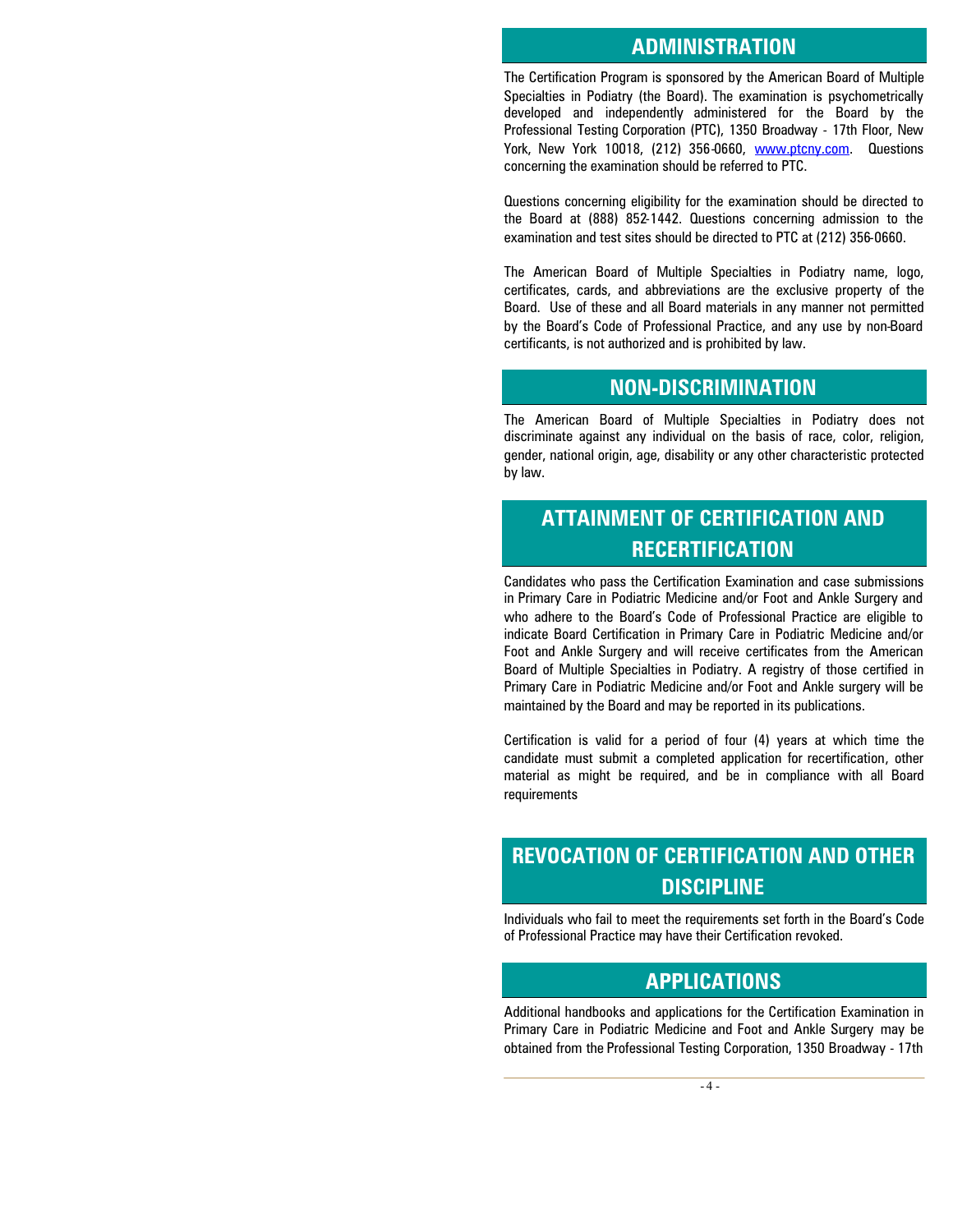#### **ADMINISTRATION**

The Certification Program is sponsored by the American Board of Multiple Specialties in Podiatry (the Board). The examination is psychometrically developed and independently administered for the Board by the Professional Testing Corporation (PTC), 1350 Broadway - 17th Floor, New York, New York 10018, (212) 356-0660, www.ptcny.com. Questions concerning the examination should be referred to PTC.

Questions concerning eligibility for the examination should be directed to the Board at (888) 852-1442. Questions concerning admission to the examination and test sites should be directed to PTC at (212) 356-0660.

The American Board of Multiple Specialties in Podiatry name, logo, certificates, cards, and abbreviations are the exclusive property of the Board. Use of these and all Board materials in any manner not permitted by the Board's Code of Professional Practice, and any use by non-Board certificants, is not authorized and is prohibited by law.

### **NON-DISCRIMINATION**

The American Board of Multiple Specialties in Podiatry does not discriminate against any individual on the basis of race, color, religion, gender, national origin, age, disability or any other characteristic protected by law.

# **ATTAINMENT OF CERTIFICATION AND RECERTIFICATION**

Candidates who pass the Certification Examination and case submissions in Primary Care in Podiatric Medicine and/or Foot and Ankle Surgery and who adhere to the Board's Code of Professional Practice are eligible to indicate Board Certification in Primary Care in Podiatric Medicine and/or Foot and Ankle Surgery and will receive certificates from the American Board of Multiple Specialties in Podiatry. A registry of those certified in Primary Care in Podiatric Medicine and/or Foot and Ankle surgery will be maintained by the Board and may be reported in its publications.

Certification is valid for a period of four (4) years at which time the candidate must submit a completed application for recertification, other material as might be required, and be in compliance with all Board requirements

# **REVOCATION OF CERTIFICATION AND OTHER DISCIPLINE**

Individuals who fail to meet the requirements set forth in the Board's Code of Professional Practice may have their Certification revoked.

### **APPLICATIONS**

Additional handbooks and applications for the Certification Examination in Primary Care in Podiatric Medicine and Foot and Ankle Surgery may be obtained from the Professional Testing Corporation, 1350 Broadway - 17th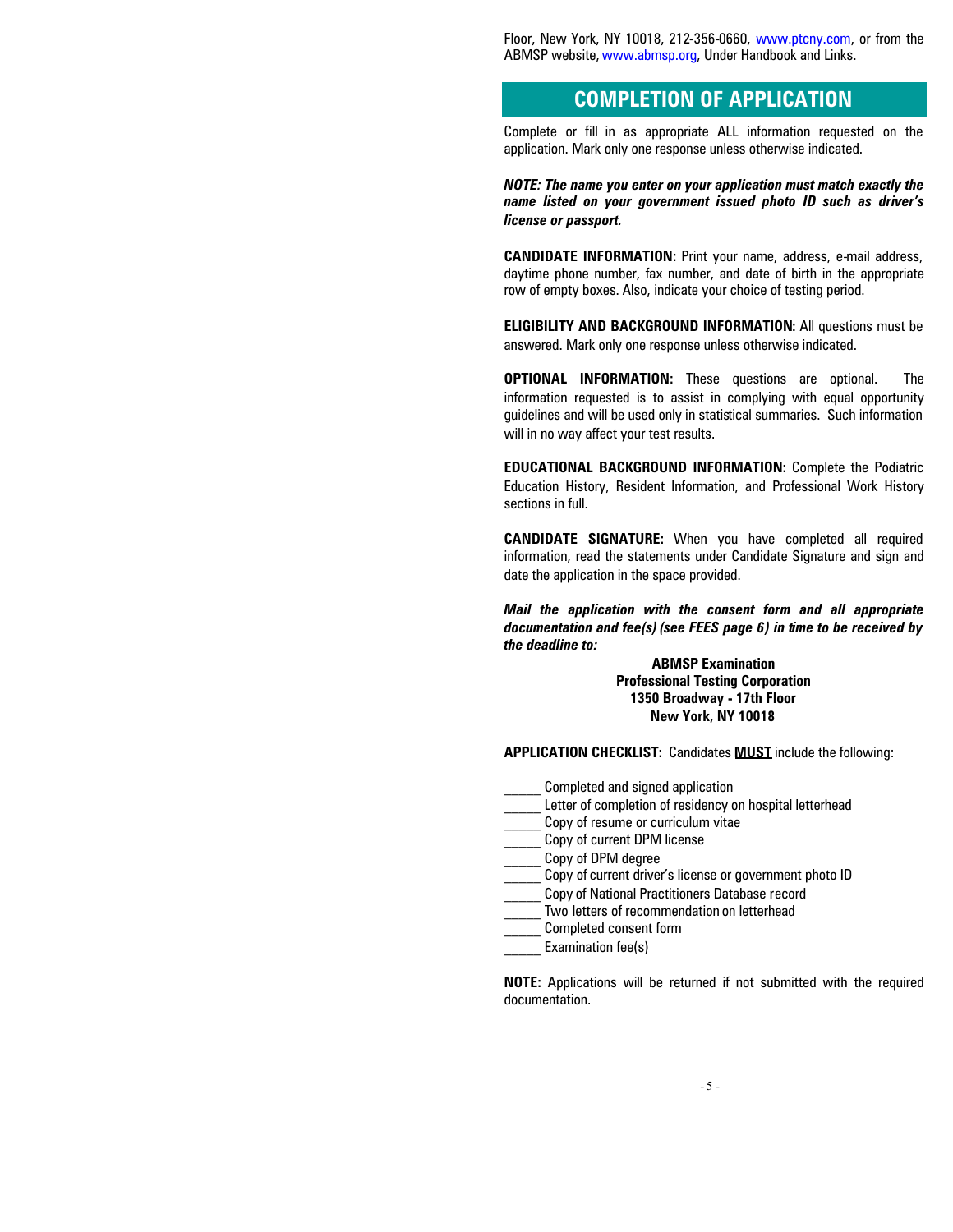Floor, New York, NY 10018, 212-356-0660, www.ptcny.com, or from the ABMSP website, www.abmsp.org, Under Handbook and Links.

# **COMPLETION OF APPLICATION**

Complete or fill in as appropriate ALL information requested on the application. Mark only one response unless otherwise indicated.

*NOTE: The name you enter on your application must match exactly the name listed on your government issued photo ID such as driver's license or passport.*

**CANDIDATE INFORMATION:** Print your name, address, e-mail address, daytime phone number, fax number, and date of birth in the appropriate row of empty boxes. Also, indicate your choice of testing period.

**ELIGIBILITY AND BACKGROUND INFORMATION:** All questions must be answered. Mark only one response unless otherwise indicated.

**OPTIONAL INFORMATION:** These questions are optional. The information requested is to assist in complying with equal opportunity guidelines and will be used only in statistical summaries. Such information will in no way affect your test results.

**EDUCATIONAL BACKGROUND INFORMATION:** Complete the Podiatric Education History, Resident Information, and Professional Work History sections in full.

**CANDIDATE SIGNATURE:** When you have completed all required information, read the statements under Candidate Signature and sign and date the application in the space provided.

#### *Mail the application with the consent form and all appropriate documentation and fee(s) (see FEES page 6) in time to be received by the deadline to:*

#### **ABMSP Examination Professional Testing Corporation 1350 Broadway - 17th Floor New York, NY 10018**

**APPLICATION CHECKLIST:** Candidates **MUST** include the following:

- \_\_\_\_\_ Completed and signed application
- Letter of completion of residency on hospital letterhead
- \_\_\_\_\_ Copy of resume or curriculum vitae
- \_\_\_\_\_ Copy of current DPM license
- \_\_\_\_\_ Copy of DPM degree
- \_\_\_\_\_ Copy of current driver's license or government photo ID
- \_\_\_\_\_ Copy of National Practitioners Database record
- \_\_\_\_\_ Two letters of recommendation on letterhead
- \_\_\_\_\_ Completed consent form
- Examination fee(s)

**NOTE:** Applications will be returned if not submitted with the required documentation.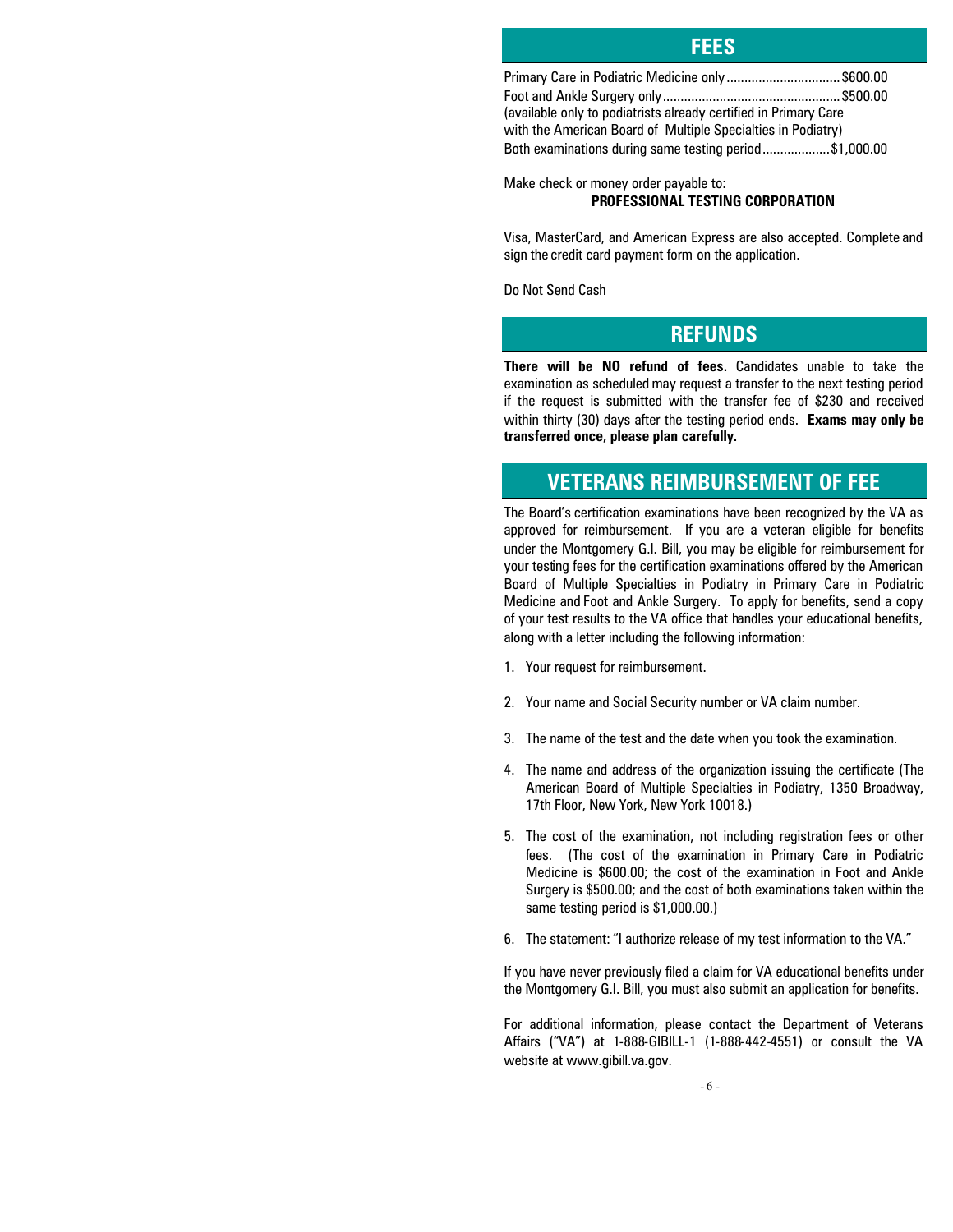| Primary Care in Podiatric Medicine only \$600.00                 |  |
|------------------------------------------------------------------|--|
|                                                                  |  |
| (available only to podiatrists already certified in Primary Care |  |
| with the American Board of Multiple Specialties in Podiatry)     |  |
| Both examinations during same testing period\$1,000.00           |  |

**FEES**

Make check or money order payable to: **PROFESSIONAL TESTING CORPORATION**

Visa, MasterCard, and American Express are also accepted. Complete and sign the credit card payment form on the application.

Do Not Send Cash

### **REFUNDS**

**There will be NO refund of fees.** Candidates unable to take the examination as scheduled may request a transfer to the next testing period if the request is submitted with the transfer fee of \$230 and received within thirty (30) days after the testing period ends. **Exams may only be transferred once, please plan carefully.**

# **VETERANS REIMBURSEMENT OF FEE**

The Board's certification examinations have been recognized by the VA as approved for reimbursement. If you are a veteran eligible for benefits under the Montgomery G.I. Bill, you may be eligible for reimbursement for your testing fees for the certification examinations offered by the American Board of Multiple Specialties in Podiatry in Primary Care in Podiatric Medicine and Foot and Ankle Surgery. To apply for benefits, send a copy of your test results to the VA office that handles your educational benefits, along with a letter including the following information:

- 1. Your request for reimbursement.
- 2. Your name and Social Security number or VA claim number.
- 3. The name of the test and the date when you took the examination.
- 4. The name and address of the organization issuing the certificate (The American Board of Multiple Specialties in Podiatry, 1350 Broadway, 17th Floor, New York, New York 10018.)
- 5. The cost of the examination, not including registration fees or other fees. (The cost of the examination in Primary Care in Podiatric Medicine is \$600.00; the cost of the examination in Foot and Ankle Surgery is \$500.00; and the cost of both examinations taken within the same testing period is \$1,000.00.)
- 6. The statement: "I authorize release of my test information to the VA."

If you have never previously filed a claim for VA educational benefits under the Montgomery G.I. Bill, you must also submit an application for benefits.

For additional information, please contact the Department of Veterans Affairs ("VA") at 1-888-GIBILL-1 (1-888-442-4551) or consult the VA website at www.gibill.va.gov.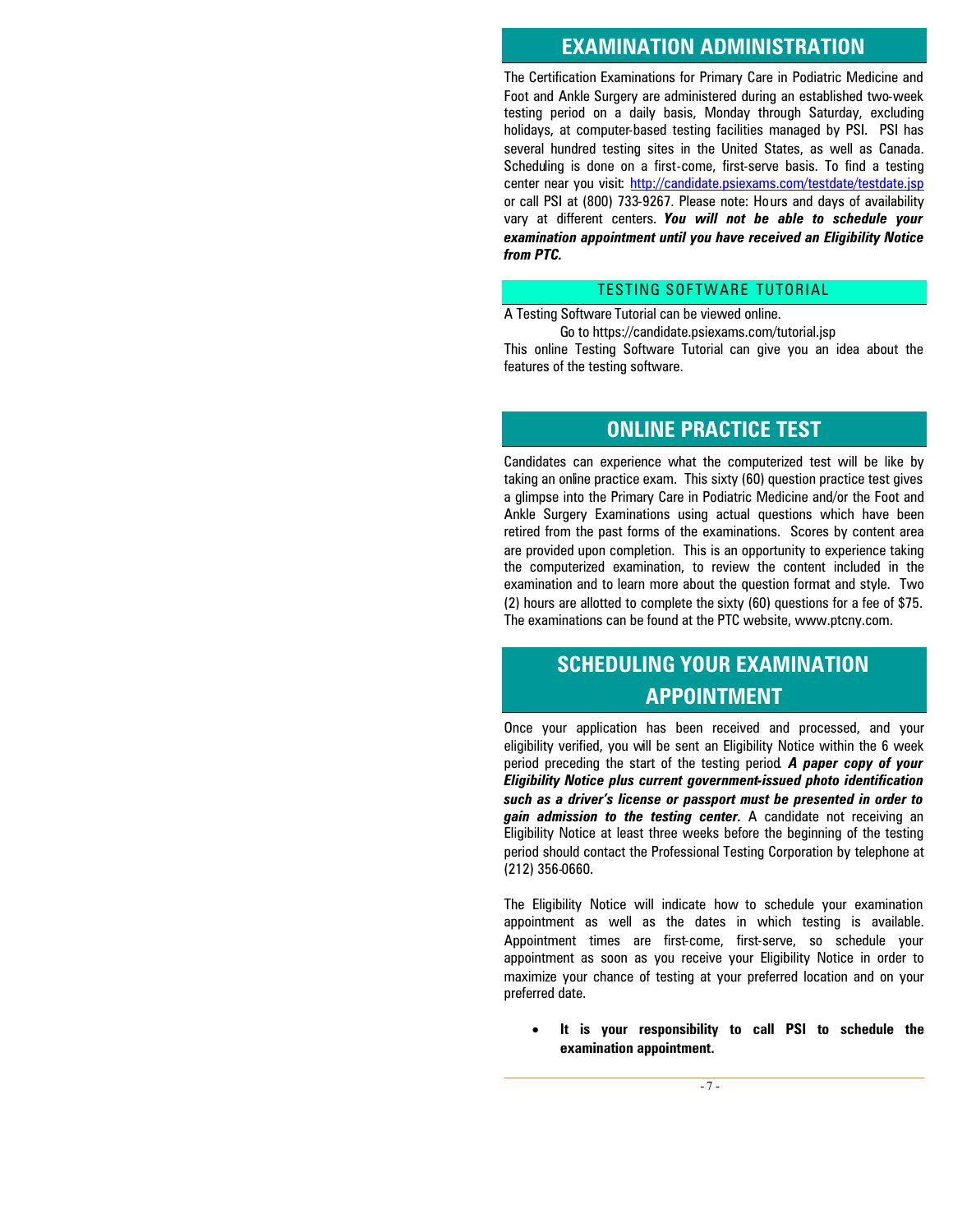### **EXAMINATION ADMINISTRATION**

The Certification Examinations for Primary Care in Podiatric Medicine and Foot and Ankle Surgery are administered during an established two-week testing period on a daily basis, Monday through Saturday, excluding holidays, at computer-based testing facilities managed by PSI. PSI has several hundred testing sites in the United States, as well as Canada. Scheduling is done on a first-come, first-serve basis. To find a testing center near you visit: http://candidate.psiexams.com/testdate/testdate.jsp or call PSI at (800) 733-9267. Please note: Hours and days of availability vary at different centers. *You will not be able to schedule your examination appointment until you have received an Eligibility Notice from PTC.*

#### TESTING SOFTWARE TUTORIAL

A Testing Software Tutorial can be viewed online.

Go to https://candidate.psiexams.com/tutorial.jsp This online Testing Software Tutorial can give you an idea about the features of the testing software.

### **ONLINE PRACTICE TEST**

Candidates can experience what the computerized test will be like by taking an online practice exam. This sixty (60) question practice test gives a glimpse into the Primary Care in Podiatric Medicine and/or the Foot and Ankle Surgery Examinations using actual questions which have been retired from the past forms of the examinations. Scores by content area are provided upon completion. This is an opportunity to experience taking the computerized examination, to review the content included in the examination and to learn more about the question format and style. Two (2) hours are allotted to complete the sixty (60) questions for a fee of \$75. The examinations can be found at the PTC website, www.ptcny.com.

# **SCHEDULING YOUR EXAMINATION APPOINTMENT**

Once your application has been received and processed, and your eligibility verified, you will be sent an Eligibility Notice within the 6 week period preceding the start of the testing period*. A paper copy of your Eligibility Notice plus current government-issued photo identification such as a driver's license or passport must be presented in order to gain admission to the testing center.* A candidate not receiving an Eligibility Notice at least three weeks before the beginning of the testing period should contact the Professional Testing Corporation by telephone at (212) 356-0660.

The Eligibility Notice will indicate how to schedule your examination appointment as well as the dates in which testing is available. Appointment times are first-come, first-serve, so schedule your appointment as soon as you receive your Eligibility Notice in order to maximize your chance of testing at your preferred location and on your preferred date.

#### **It is your responsibility to call PSI to schedule the examination appointment.**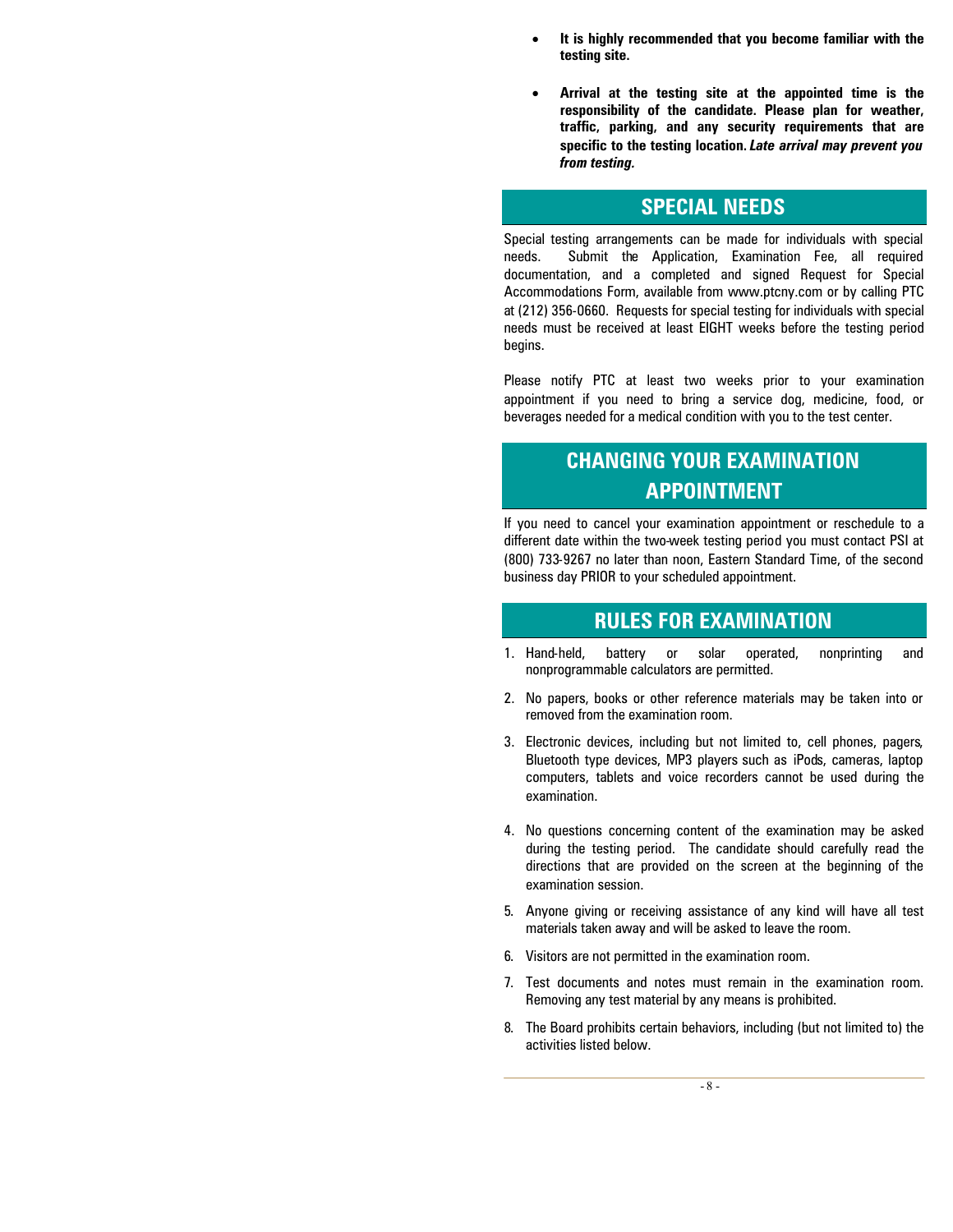- **It is highly recommended that you become familiar with the testing site.**
- **Arrival at the testing site at the appointed time is the responsibility of the candidate. Please plan for weather, traffic, parking, and any security requirements that are specific to the testing location.** *Late arrival may prevent you from testing.*

## **SPECIAL NEEDS**

Special testing arrangements can be made for individuals with special needs. Submit the Application, Examination Fee, all required documentation, and a completed and signed Request for Special Accommodations Form, available from www.ptcny.com or by calling PTC at (212) 356-0660. Requests for special testing for individuals with special needs must be received at least EIGHT weeks before the testing period begins.

Please notify PTC at least two weeks prior to your examination appointment if you need to bring a service dog, medicine, food, or beverages needed for a medical condition with you to the test center.

# **CHANGING YOUR EXAMINATION APPOINTMENT**

If you need to cancel your examination appointment or reschedule to a different date within the two-week testing period you must contact PSI at (800) 733-9267 no later than noon, Eastern Standard Time, of the second business day PRIOR to your scheduled appointment.

### **RULES FOR EXAMINATION**

- 1. Hand-held, battery or solar operated, nonprinting and nonprogrammable calculators are permitted.
- 2. No papers, books or other reference materials may be taken into or removed from the examination room.
- 3. Electronic devices, including but not limited to, cell phones, pagers, Bluetooth type devices, MP3 players such as iPods, cameras, laptop computers, tablets and voice recorders cannot be used during the examination.
- 4. No questions concerning content of the examination may be asked during the testing period. The candidate should carefully read the directions that are provided on the screen at the beginning of the examination session.
- 5. Anyone giving or receiving assistance of any kind will have all test materials taken away and will be asked to leave the room.
- 6. Visitors are not permitted in the examination room.
- 7. Test documents and notes must remain in the examination room. Removing any test material by any means is prohibited.
- 8. The Board prohibits certain behaviors, including (but not limited to) the activities listed below.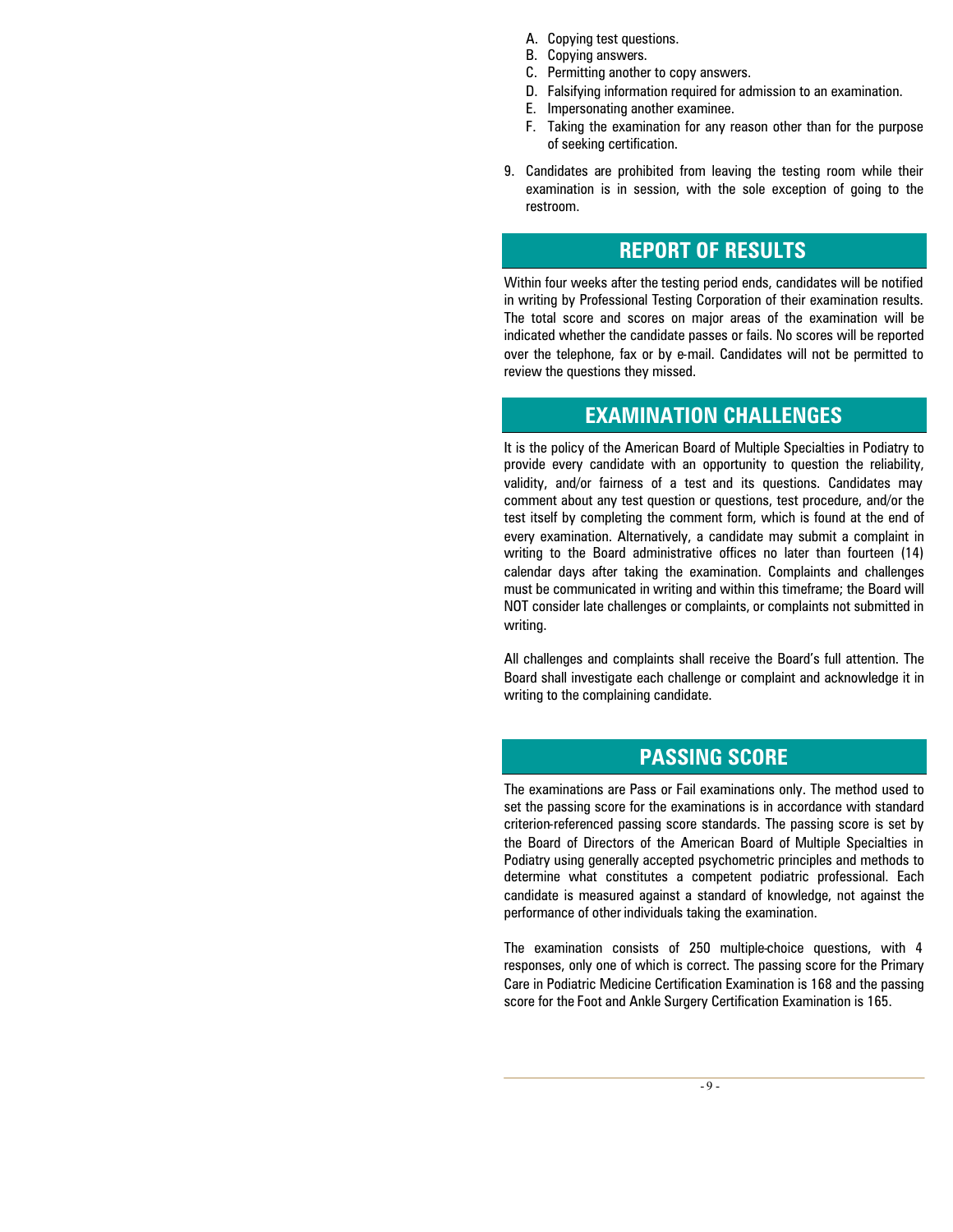- A. Copying test questions.
- B. Copying answers.
- C. Permitting another to copy answers.
- D. Falsifying information required for admission to an examination.
- E. Impersonating another examinee.
- F. Taking the examination for any reason other than for the purpose of seeking certification.
- 9. Candidates are prohibited from leaving the testing room while their examination is in session, with the sole exception of going to the restroom.

### **REPORT OF RESULTS**

Within four weeks after the testing period ends, candidates will be notified in writing by Professional Testing Corporation of their examination results. The total score and scores on major areas of the examination will be indicated whether the candidate passes or fails. No scores will be reported over the telephone, fax or by e-mail. Candidates will not be permitted to review the questions they missed.

#### **EXAMINATION CHALLENGES**

It is the policy of the American Board of Multiple Specialties in Podiatry to provide every candidate with an opportunity to question the reliability, validity, and/or fairness of a test and its questions. Candidates may comment about any test question or questions, test procedure, and/or the test itself by completing the comment form, which is found at the end of every examination. Alternatively, a candidate may submit a complaint in writing to the Board administrative offices no later than fourteen (14) calendar days after taking the examination. Complaints and challenges must be communicated in writing and within this timeframe; the Board will NOT consider late challenges or complaints, or complaints not submitted in writing.

All challenges and complaints shall receive the Board's full attention. The Board shall investigate each challenge or complaint and acknowledge it in writing to the complaining candidate.

#### **PASSING SCORE**

The examinations are Pass or Fail examinations only. The method used to set the passing score for the examinations is in accordance with standard criterion-referenced passing score standards. The passing score is set by the Board of Directors of the American Board of Multiple Specialties in Podiatry using generally accepted psychometric principles and methods to determine what constitutes a competent podiatric professional. Each candidate is measured against a standard of knowledge, not against the performance of other individuals taking the examination.

The examination consists of 250 multiple-choice questions, with 4 responses, only one of which is correct. The passing score for the Primary Care in Podiatric Medicine Certification Examination is 168 and the passing score for the Foot and Ankle Surgery Certification Examination is 165.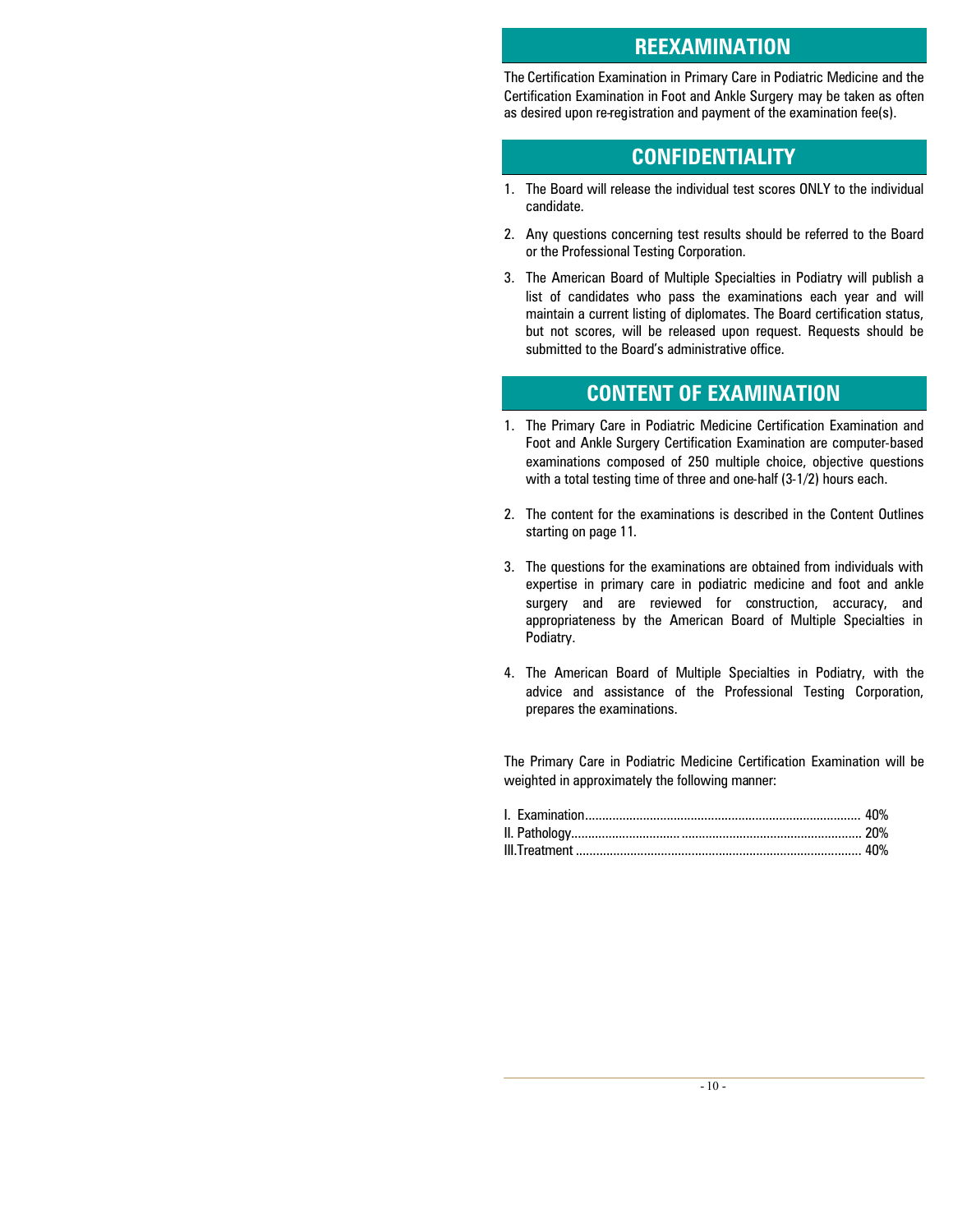#### **REEXAMINATION**

The Certification Examination in Primary Care in Podiatric Medicine and the Certification Examination in Foot and Ankle Surgery may be taken as often as desired upon re-registration and payment of the examination fee(s).

## **CONFIDENTIALITY**

- 1. The Board will release the individual test scores ONLY to the individual candidate.
- 2. Any questions concerning test results should be referred to the Board or the Professional Testing Corporation.
- 3. The American Board of Multiple Specialties in Podiatry will publish a list of candidates who pass the examinations each year and will maintain a current listing of diplomates. The Board certification status, but not scores, will be released upon request. Requests should be submitted to the Board's administrative office.

### **CONTENT OF EXAMINATION**

- 1. The Primary Care in Podiatric Medicine Certification Examination and Foot and Ankle Surgery Certification Examination are computer-based examinations composed of 250 multiple choice, objective questions with a total testing time of three and one-half (3-1/2) hours each.
- 2. The content for the examinations is described in the Content Outlines starting on page 11.
- 3. The questions for the examinations are obtained from individuals with expertise in primary care in podiatric medicine and foot and ankle surgery and are reviewed for construction, accuracy, and appropriateness by the American Board of Multiple Specialties in Podiatry.
- 4. The American Board of Multiple Specialties in Podiatry, with the advice and assistance of the Professional Testing Corporation, prepares the examinations.

The Primary Care in Podiatric Medicine Certification Examination will be weighted in approximately the following manner: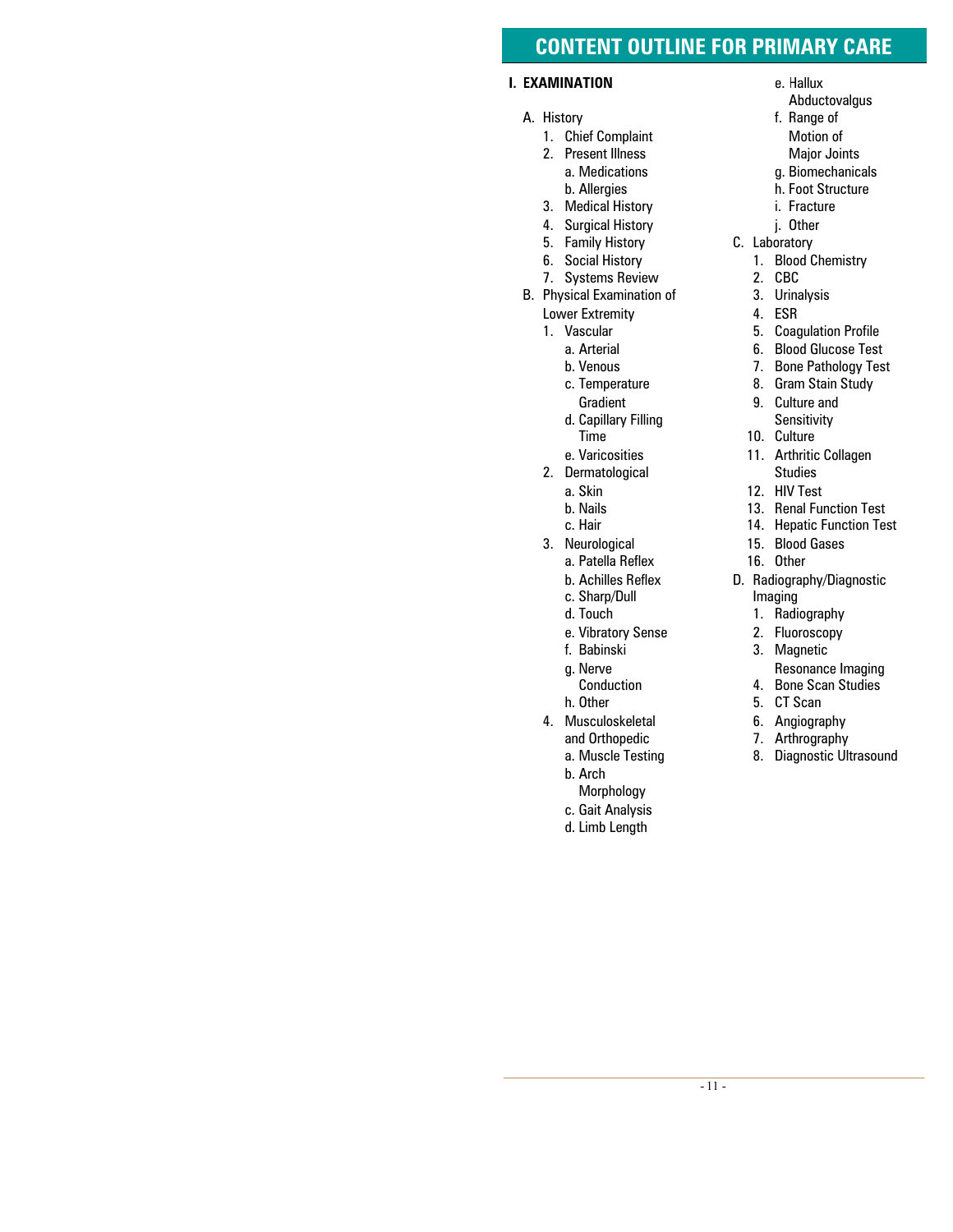#### **CONTENT OUTLINE FOR PRIMARY CARE**

#### **I. EXAMINATION**

- A. History
	- 1. Chief Complaint
	- 2. Present Illness a. Medications b. Allergies
	- 3. Medical History
	- 4. Surgical History
	- 5. Family History
	- 6. Social History
	- 7. Systems Review
- B. Physical Examination of
	- Lower Extremity
	- 1. Vascular
		- a. Arterial
		- b. Venous
		- c. Temperature Gradient
		- d. Capillary Filling Time
		- e. Varicosities
	- 2. Dermatological
		- a. Skin
		- b. Nails
		- c. Hair
	- 3. Neurological
		- a. Patella Reflex
		- b. Achilles Reflex
		- c. Sharp/Dull
		- d. Touch
		- e. Vibratory Sense
		- f. Babinski
		- g. Nerve
			- Conduction
		- h. Other
	- 4. Musculoskeletal and Orthopedic
		- a. Muscle Testing
		- b. Arch
		- Morphology
		- c. Gait Analysis
		- d. Limb Length
- e. Hallux
- Abductovalgus
- f. Range of Motion of Major Joints
- g. Biomechanicals
- h. Foot Structure
- i. Fracture
- j. Other
- C. Laboratory
	- 1. Blood Chemistry
	- 2. CBC
	- 3. Urinalysis
	- 4. ESR
	- 5. Coagulation Profile
	- 6. Blood Glucose Test
	- 7. Bone Pathology Test
	- 8. Gram Stain Study
	- 9. Culture and Sensitivity
	- 10. Culture
	- 11. Arthritic Collagen Studies
	- 12. HIV Test
	- 13. Renal Function Test
	- 14. Hepatic Function Test
	- 15. Blood Gases
	- 16. Other
- D. Radiography/Diagnostic Imaging
	- 1. Radiography
	- 2. Fluoroscopy
	- 3. Magnetic
		- Resonance Imaging
	- 4. Bone Scan Studies
	- 5. CT Scan
	- 6. Angiography
	- 7. Arthrography
	- 8. Diagnostic Ultrasound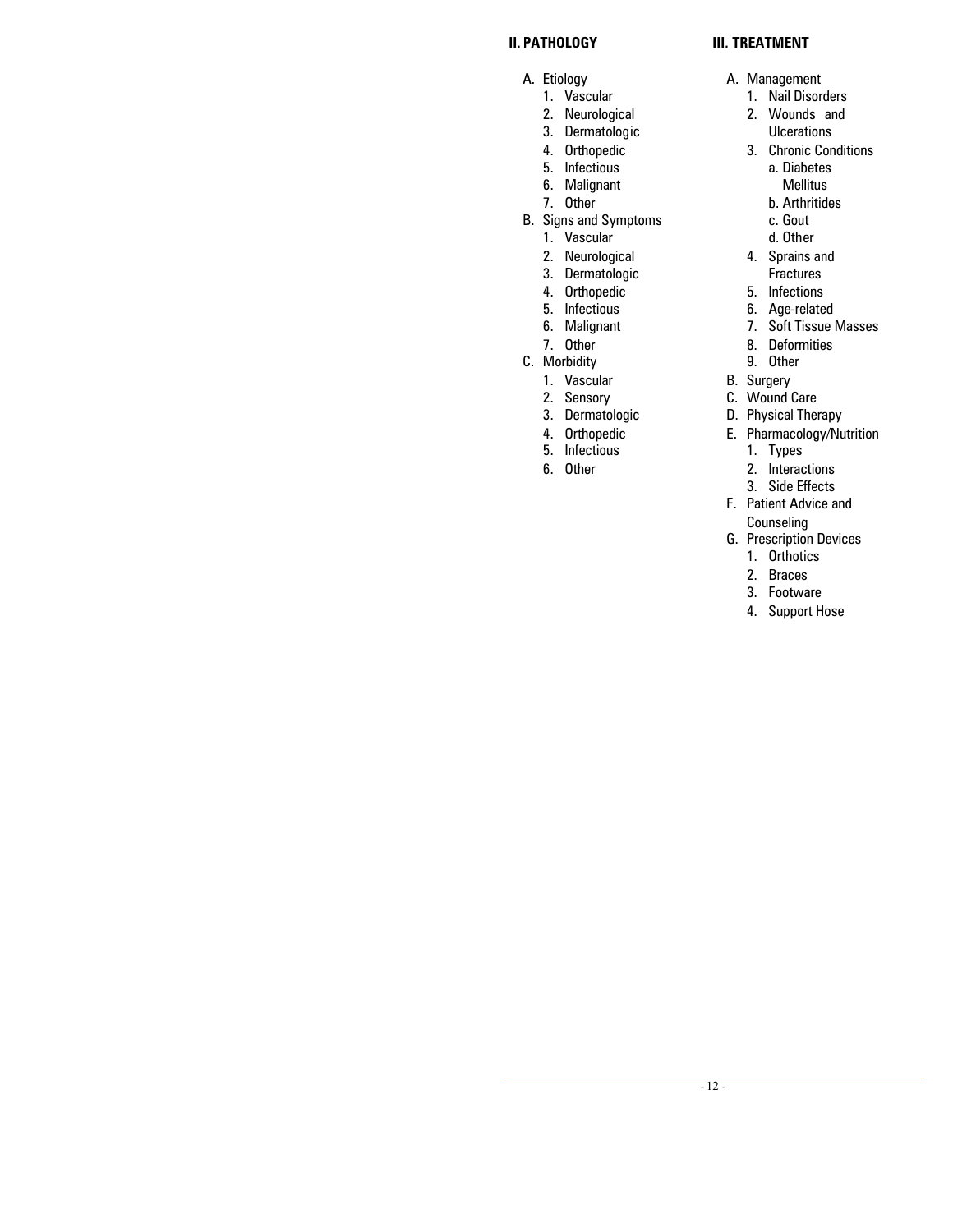#### **II. PATHOLOGY**

- A. Etiology
	- 1. Vascular
	- 2. Neurological
	- 3. Dermatologic
	- 4. Orthopedic
	- 5. Infectious
	- 6. Malignant
	- 7. Other
- B. Signs and Symptoms
	- 1. Vascular
	- 2. Neurological
	- 3. Dermatologic
	- 4. Orthopedic
	- 5. Infectious
	- 6. Malignant
	- 7. Other
- C. Morbidity
	- 1. Vascular
	- 2. Sensory
	- 3. Dermatologic
	- 4. Orthopedic
	- 5. Infectious
	- 6. Other

#### **III. TREATMENT**

- A. Management
	- 1. Nail Disorders
		- 2. Wounds and Ulcerations
		- 3. Chronic Conditions
			- a. Diabetes Mellitus
			- b. Arthritides
			- c. Gout
			- d. Other
		- 4. Sprains and Fractures
		- 5. Infections
		- 6. Age-related
		- 7. Soft Tissue Masses
		- 8. Deformities
	- 9. Other
- B. Surgery
- C. Wound Care
- D. Physical Therapy
- E. Pharmacology/Nutrition
	- 1. Types
	- 2. Interactions
	- 3. Side Effects
- F. Patient Advice and **Counseling**
- G. Prescription Devices
	- 1. Orthotics
		- 2. Braces
		- 3. Footware
		- 4. Support Hose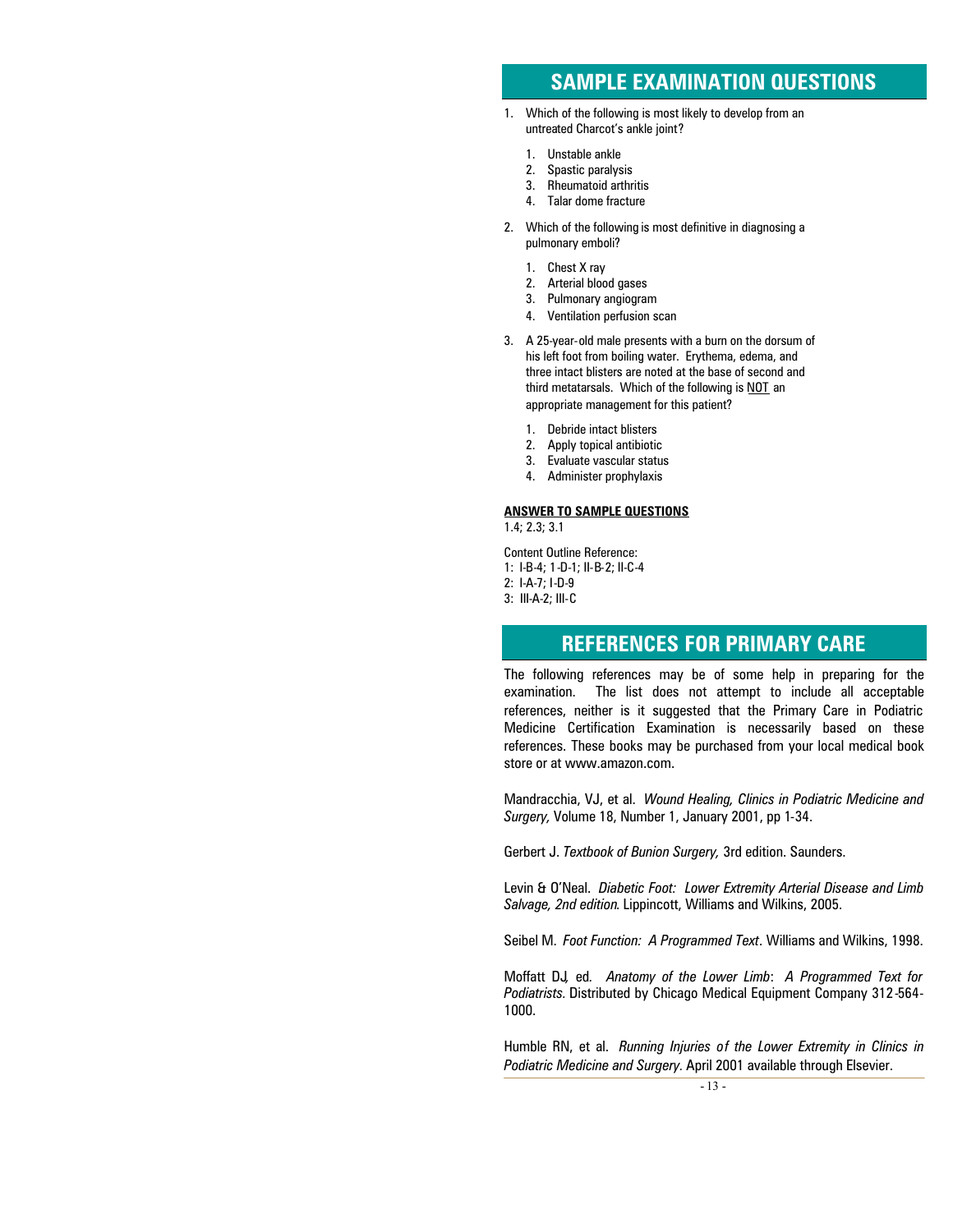### **SAMPLE EXAMINATION QUESTIONS**

- 1. Which of the following is most likely to develop from an untreated Charcot's ankle joint?
	- 1. Unstable ankle
	- 2. Spastic paralysis
	- 3. Rheumatoid arthritis 4. Talar dome fracture
- 2. Which of the following is most definitive in diagnosing a pulmonary emboli?
	- 1. Chest X ray
	- 2. Arterial blood gases
	- 3. Pulmonary angiogram
	- 4. Ventilation perfusion scan
- 3. A 25-year-old male presents with a burn on the dorsum of his left foot from boiling water. Erythema, edema, and three intact blisters are noted at the base of second and third metatarsals. Which of the following is NOT an appropriate management for this patient?
	- 1. Debride intact blisters
	- 2. Apply topical antibiotic
	- 3. Evaluate vascular status
	- 4. Administer prophylaxis

#### **ANSWER TO SAMPLE QUESTIONS**

1.4; 2.3; 3.1

Content Outline Reference:

- 1: I-B-4; 1-D-1; II-B-2; II-C-4
- 2: I-A-7; I-D-9
- 3: III-A-2; III-C

### **REFERENCES FOR PRIMARY CARE**

The following references may be of some help in preparing for the examination. The list does not attempt to include all acceptable references, neither is it suggested that the Primary Care in Podiatric Medicine Certification Examination is necessarily based on these references. These books may be purchased from your local medical book store or at www.amazon.com.

Mandracchia, VJ, et al. *Wound Healing, Clinics in Podiatric Medicine and Surgery,* Volume 18, Number 1, January 2001, pp 1-34.

Gerbert J. *Textbook of Bunion Surgery,* 3rd edition. Saunders.

Levin & O'Neal. *Diabetic Foot: Lower Extremity Arterial Disease and Limb Salvage, 2nd edition*. Lippincott, Williams and Wilkins, 2005.

Seibel M. *Foot Function: A Programmed Text*. Williams and Wilkins, 1998.

Moffatt DJ*,* ed*. Anatomy of the Lower Limb*: *A Programmed Text for Podiatrists.* Distributed by Chicago Medical Equipment Company 312-564- 1000.

Humble RN, et al. *Running Injuries of the Lower Extremity in Clinics in Podiatric Medicine and Surgery.* April 2001 available through Elsevier.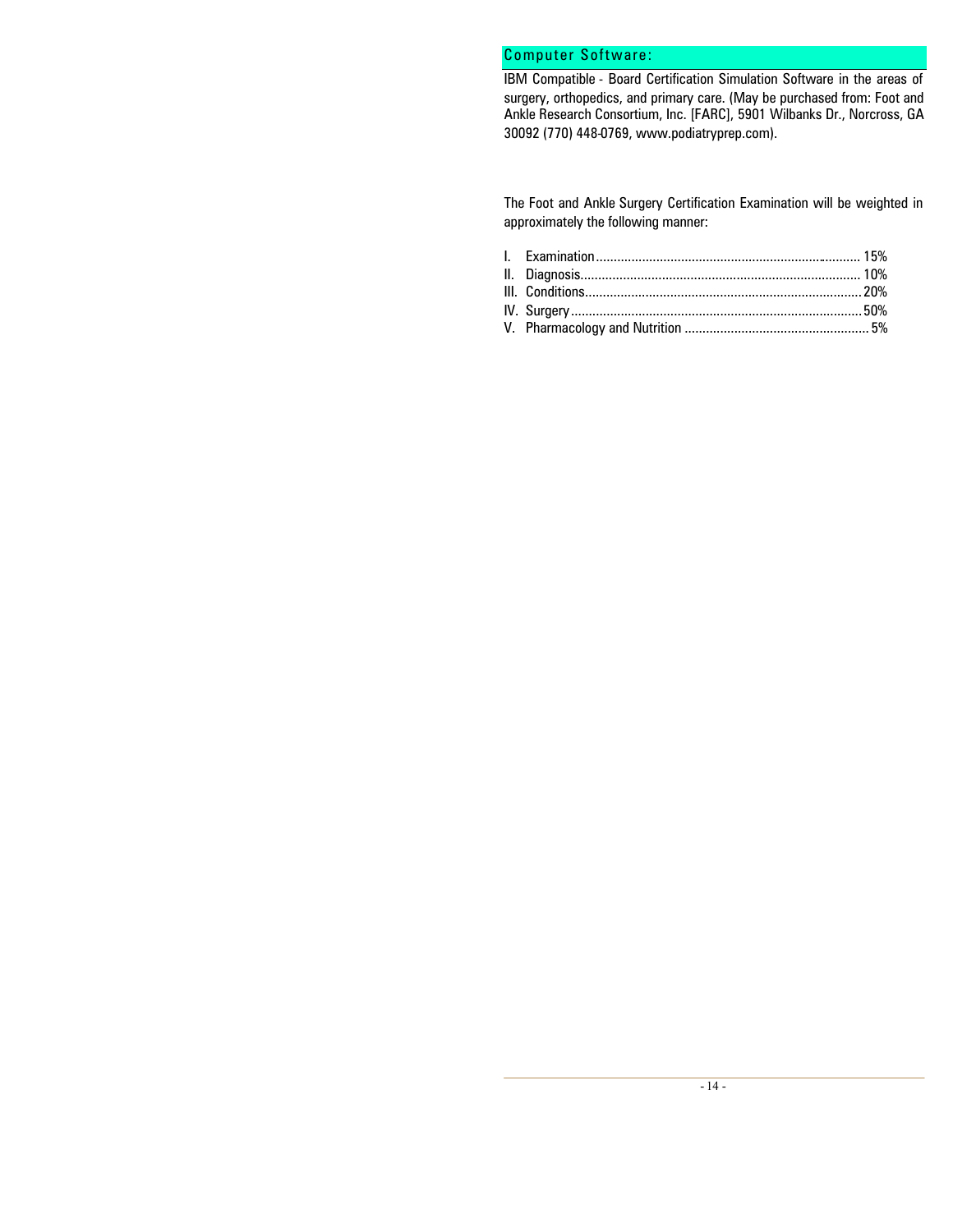#### Computer Software:

IBM Compatible - Board Certification Simulation Software in the areas of surgery, orthopedics, and primary care. (May be purchased from: Foot and Ankle Research Consortium, Inc. [FARC], 5901 Wilbanks Dr., Norcross, GA 30092 (770) 448-0769, www.podiatryprep.com).

The Foot and Ankle Surgery Certification Examination will be weighted in approximately the following manner: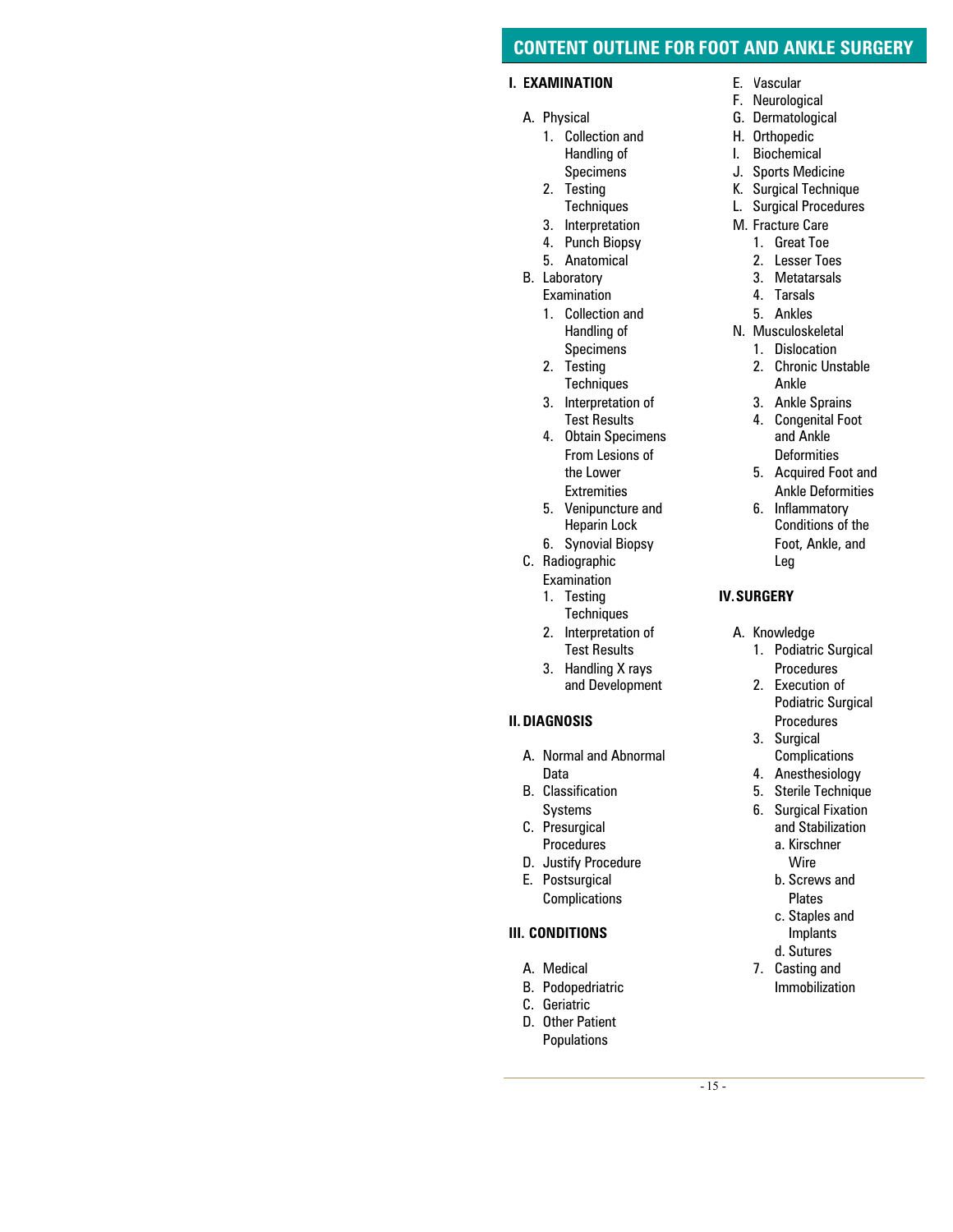#### **CONTENT OUTLINE FOR FOOT AND ANKLE SURGERY**

#### **I. EXAMINATION**

- A. Physical
	- 1. Collection and Handling of Specimens
	- 2. Testing **Techniques**
	- 3. Interpretation
	- 4. Punch Biopsy
	- 5. Anatomical
- B. Laboratory Examination
	- 1. Collection and Handling of Specimens
	- 2. Testing **Techniques**
	- 3. Interpretation of Test Results
	- 4. Obtain Specimens From Lesions of the Lower **Extremities**
	- 5. Venipuncture and Heparin Lock
	- 6. Synovial Biopsy
- C. Radiographic Examination
	- 1. Testing **Techniques**
	- 2. Interpretation of Test Results
	- 3. Handling X rays and Development

#### **II.DIAGNOSIS**

- A. Normal and Abnormal Data
- B. Classification Systems
- C. Presurgical Procedures
- D. Justify Procedure
- E. Postsurgical Complications

#### **III. CONDITIONS**

- A. Medical
- B. Podopedriatric
- C. Geriatric
- D. Other Patient Populations
- E. Vascular<br>F. Neurolog
- Neurological
- G. Dermatological
- H. Orthopedic
- I. Biochemical
- J. Sports Medicine
- K. Surgical Technique<br>L. Surgical Procedures
- Surgical Procedures
- M. Fracture Care
	- 1. Great Toe
	- 2. Lesser Toes
	- 3. Metatarsals 4. Tarsals
	- 5. Ankles
- N. Musculoskeletal
	- 1. Dislocation
		- 2. Chronic Unstable Ankle
		- 3. Ankle Sprains
		- 4. Congenital Foot and Ankle Deformities
		- 5. Acquired Foot and Ankle Deformities
		- 6. Inflammatory Conditions of the Foot, Ankle, and Leg

#### **IV.SURGERY**

- A. Knowledge
	- 1. Podiatric Surgical Procedures
	- 2. Execution of Podiatric Surgical
	- Procedures 3. Surgical **Complications**
	- 4. Anesthesiology
	- 5. Sterile Technique
	- 6. Surgical Fixation
		- and Stabilization a. Kirschner
		- **Wire** b. Screws and Plates
		- c. Staples and Implants
		- d. Sutures
	- 7. Casting and Immobilization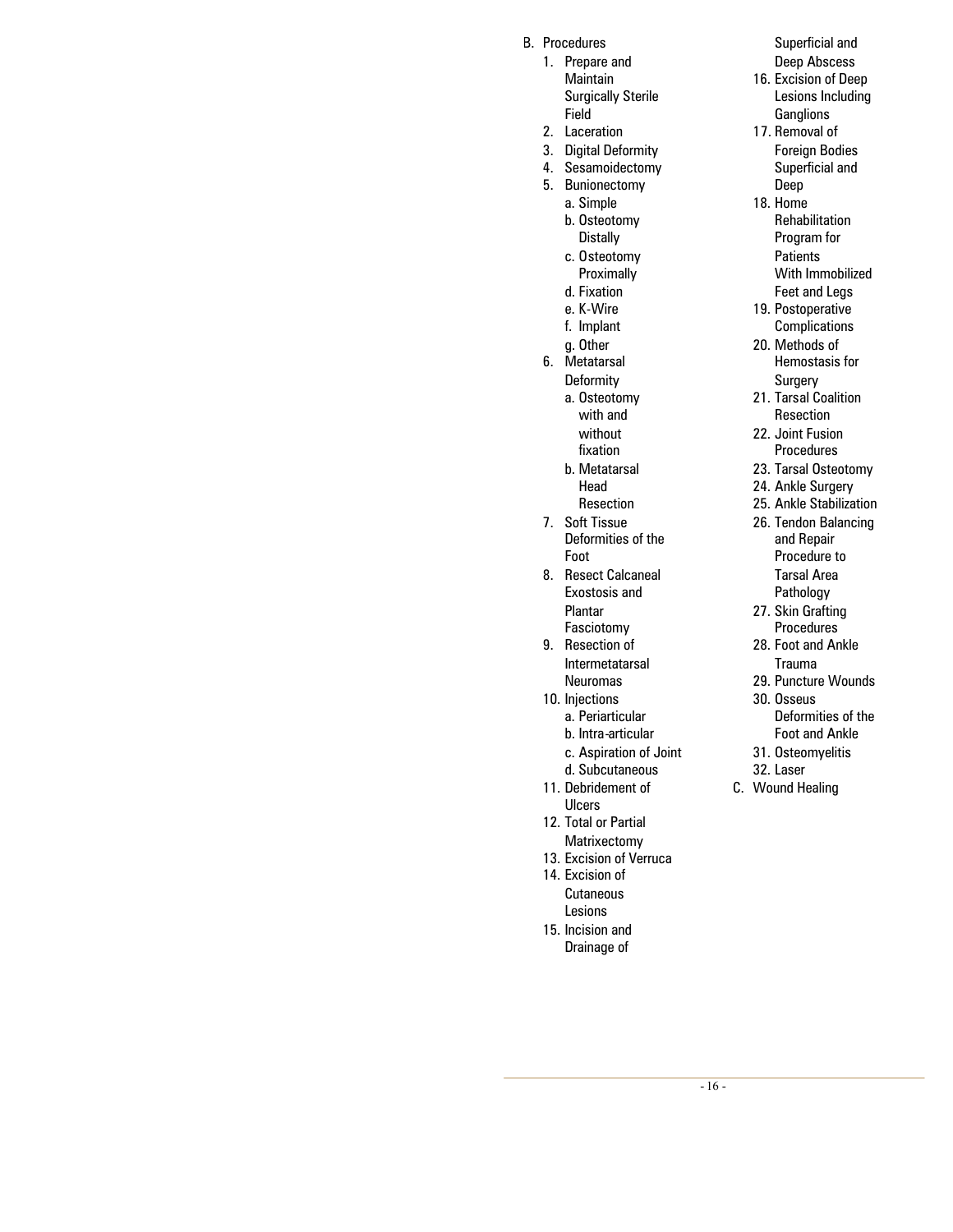- B. Procedures
	- 1. Prepare and **Maintain** Surgically Sterile Field
	- 2. Laceration
	- 3. Digital Deformity
	- 4. Sesamoidectomy
	- 5. Bunionectomy
		- a. Simple
		- b. Osteotomy **Distally**
		- c. Osteotomy **Proximally**
		- d. Fixation
		- e. K-Wire
		- f. Implant
		- g. Other
	- 6. Metatarsal
		- **Deformity** 
			- a. Osteotomy with and without fixation
			- b. Metatarsal Head Resection
	- 7. Soft Tissue Deformities of the Foot
	- 8. Resect Calcaneal Exostosis and Plantar Fasciotomy
	- 9. Resection of Intermetatarsal Neuromas
	- 10. Injections
		- a. Periarticular
		- b. Intra-articular
		- c. Aspiration of Joint
		- d. Subcutaneous
	- 11. Debridement of Ulcers
	- 12. Total or Partial Matrixectomy
	- 13. Excision of Verruca
	- 14. Excision of **Cutaneous** Lesions
	- 15. Incision and Drainage of

Superficial and Deep Abscess

- 16. Excision of Deep Lesions Including **Ganglions**
- 17. Removal of Foreign Bodies Superficial and Deep
- 18. Home Rehabilitation Program for **Patients** With Immobilized Feet and Legs
- 19. Postoperative Complications
- 20. Methods of Hemostasis for Surgery
- 21. Tarsal Coalition Resection
- 22. Joint Fusion Procedures
- 23. Tarsal Osteotomy
- 24. Ankle Surgery
- 25. Ankle Stabilization
- 26. Tendon Balancing and Repair Procedure to Tarsal Area Pathology
- 27. Skin Grafting Procedures
- 28. Foot and Ankle Trauma
- 29. Puncture Wounds
- 30. Osseus Deformities of the Foot and Ankle
- 31. Osteomyelitis
- 32. Laser
- C. Wound Healing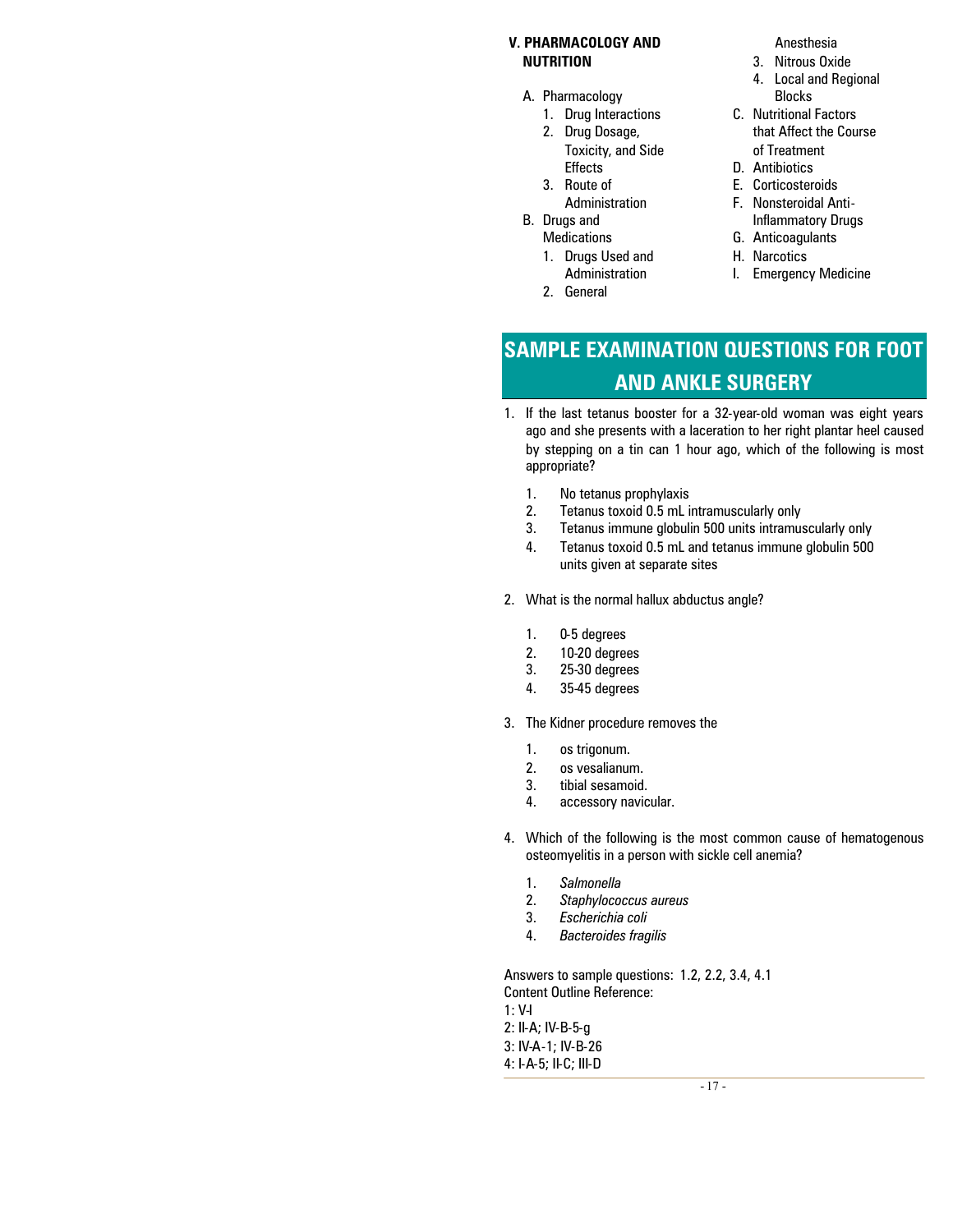#### **V. PHARMACOLOGY AND NUTRITION**

- A. Pharmacology
	- 1. Drug Interactions
	- 2. Drug Dosage, Toxicity, and Side **Effects**
	- 3. Route of
	- Administration
- B. Drugs and **Medications** 
	- 1. Drugs Used and Administration
	- 2. General

Anesthesia

- 3. Nitrous Oxide
- 4. Local and Regional Blocks
- C. Nutritional Factors that Affect the Course of Treatment
- D. Antibiotics
- E. Corticosteroids
- F. Nonsteroidal Anti-Inflammatory Drugs
- G. Anticoagulants
- H. Narcotics
- I. Emergency Medicine

# **SAMPLE EXAMINATION QUESTIONS FOR FOOT AND ANKLE SURGERY**

- 1. If the last tetanus booster for a 32-year-old woman was eight years ago and she presents with a laceration to her right plantar heel caused by stepping on a tin can 1 hour ago, which of the following is most appropriate?
	- 1. No tetanus prophylaxis
	- 2. Tetanus toxoid 0.5 mL intramuscularly only
	- 3. Tetanus immune globulin 500 units intramuscularly only
	- 4. Tetanus toxoid 0.5 mL and tetanus immune globulin 500 units given at separate sites
- 2. What is the normal hallux abductus angle?
	- 1. 0-5 degrees
	- 2. 10-20 degrees
	- 3. 25-30 degrees
	- 4. 35-45 degrees
- 3. The Kidner procedure removes the
	- 1. os trigonum.
	- 2. os vesalianum.
	- 3. tibial sesamoid.
	- 4. accessory navicular.
- 4. Which of the following is the most common cause of hematogenous osteomyelitis in a person with sickle cell anemia?
	- 1. *Salmonella*
	- 2. *Staphylococcus aureus*
	- 3. *Escherichia coli*
	- 4. *Bacteroides fragilis*

Answers to sample questions: 1.2, 2.2, 3.4, 4.1 Content Outline Reference: 1: V-I 2: II-A; IV-B-5-g 3: IV-A-1; IV-B-26 4: I-A-5; II-C; III-D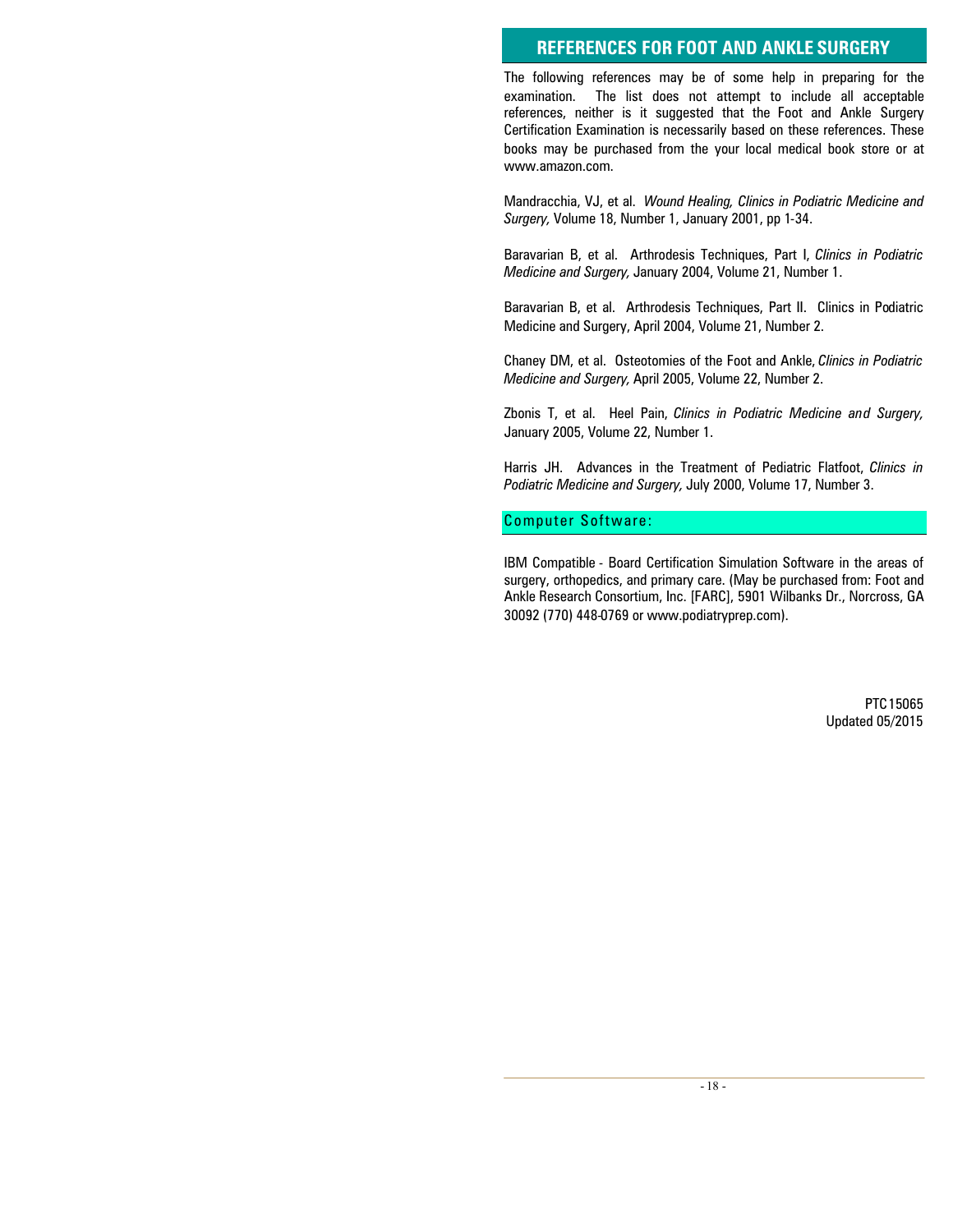#### **REFERENCES FOR FOOT AND ANKLE SURGERY**

The following references may be of some help in preparing for the examination. The list does not attempt to include all acceptable references, neither is it suggested that the Foot and Ankle Surgery Certification Examination is necessarily based on these references. These books may be purchased from the your local medical book store or at www.amazon.com.

Mandracchia, VJ, et al. *Wound Healing, Clinics in Podiatric Medicine and Surgery,* Volume 18, Number 1, January 2001, pp 1-34.

Baravarian B, et al. Arthrodesis Techniques, Part I, *Clinics in Podiatric Medicine and Surgery,* January 2004, Volume 21, Number 1.

Baravarian B, et al. Arthrodesis Techniques, Part II. Clinics in Podiatric Medicine and Surgery, April 2004, Volume 21, Number 2.

Chaney DM, et al. Osteotomies of the Foot and Ankle, *Clinics in Podiatric Medicine and Surgery,* April 2005, Volume 22, Number 2.

Zbonis T, et al. Heel Pain, *Clinics in Podiatric Medicine and Surgery,* January 2005, Volume 22, Number 1.

Harris JH. Advances in the Treatment of Pediatric Flatfoot, *Clinics in Podiatric Medicine and Surgery,* July 2000, Volume 17, Number 3.

Computer Software:

IBM Compatible - Board Certification Simulation Software in the areas of surgery, orthopedics, and primary care. (May be purchased from: Foot and Ankle Research Consortium, Inc. [FARC], 5901 Wilbanks Dr., Norcross, GA 30092 (770) 448-0769 or www.podiatryprep.com).

> PTC15065 Updated 05/2015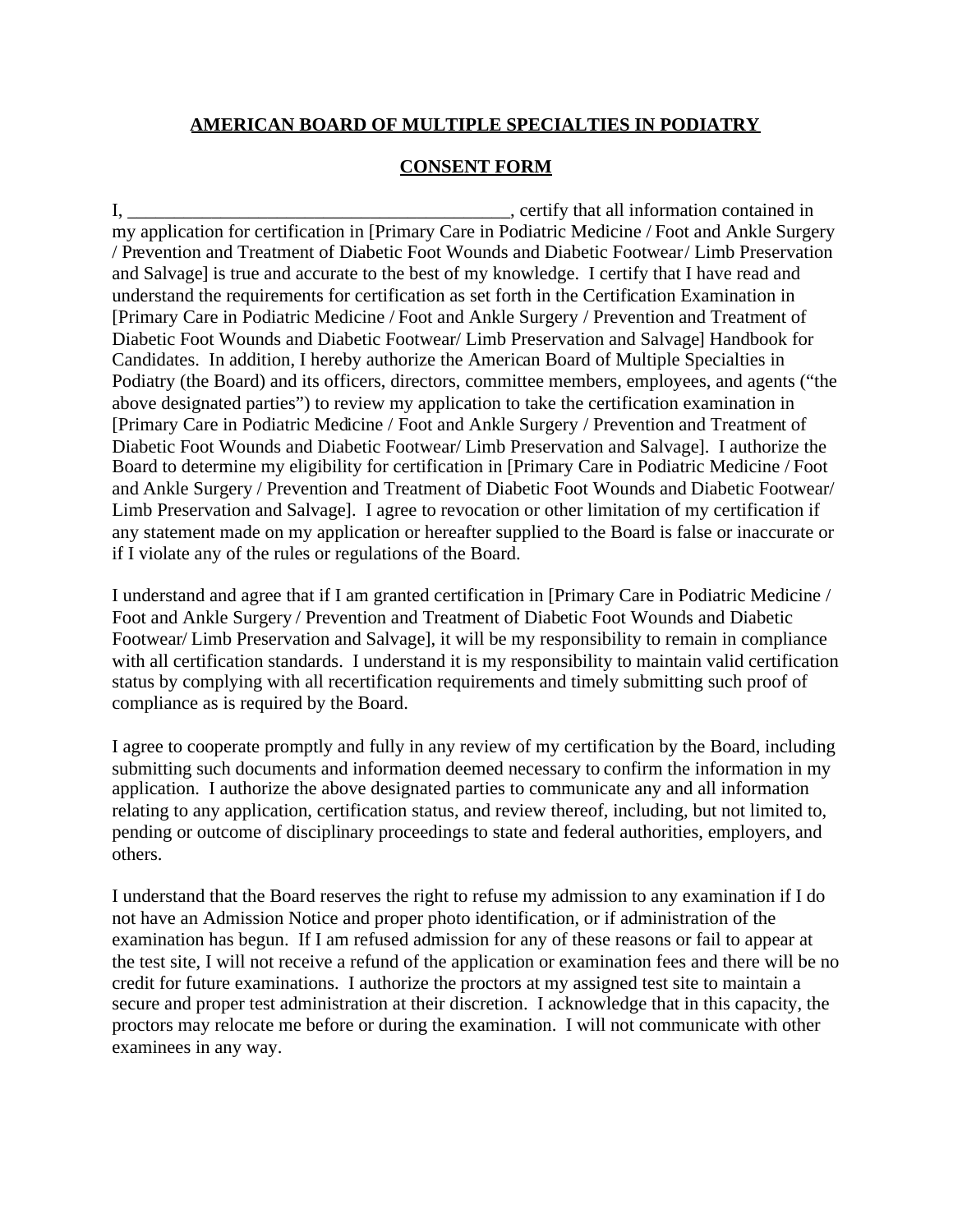#### **AMERICAN BOARD OF MULTIPLE SPECIALTIES IN PODIATRY**

#### **CONSENT FORM**

I,  $\blacksquare$ my application for certification in [Primary Care in Podiatric Medicine / Foot and Ankle Surgery / Prevention and Treatment of Diabetic Foot Wounds and Diabetic Footwear/ Limb Preservation and Salvage] is true and accurate to the best of my knowledge. I certify that I have read and understand the requirements for certification as set forth in the Certification Examination in [Primary Care in Podiatric Medicine / Foot and Ankle Surgery / Prevention and Treatment of Diabetic Foot Wounds and Diabetic Footwear/ Limb Preservation and Salvage] Handbook for Candidates. In addition, I hereby authorize the American Board of Multiple Specialties in Podiatry (the Board) and its officers, directors, committee members, employees, and agents ("the above designated parties") to review my application to take the certification examination in [Primary Care in Podiatric Medicine / Foot and Ankle Surgery / Prevention and Treatment of Diabetic Foot Wounds and Diabetic Footwear/ Limb Preservation and Salvage]. I authorize the Board to determine my eligibility for certification in [Primary Care in Podiatric Medicine / Foot and Ankle Surgery / Prevention and Treatment of Diabetic Foot Wounds and Diabetic Footwear/ Limb Preservation and Salvage]. I agree to revocation or other limitation of my certification if any statement made on my application or hereafter supplied to the Board is false or inaccurate or if I violate any of the rules or regulations of the Board.

I understand and agree that if I am granted certification in [Primary Care in Podiatric Medicine / Foot and Ankle Surgery / Prevention and Treatment of Diabetic Foot Wounds and Diabetic Footwear/ Limb Preservation and Salvage], it will be my responsibility to remain in compliance with all certification standards. I understand it is my responsibility to maintain valid certification status by complying with all recertification requirements and timely submitting such proof of compliance as is required by the Board.

I agree to cooperate promptly and fully in any review of my certification by the Board, including submitting such documents and information deemed necessary to confirm the information in my application. I authorize the above designated parties to communicate any and all information relating to any application, certification status, and review thereof, including, but not limited to, pending or outcome of disciplinary proceedings to state and federal authorities, employers, and others.

I understand that the Board reserves the right to refuse my admission to any examination if I do not have an Admission Notice and proper photo identification, or if administration of the examination has begun. If I am refused admission for any of these reasons or fail to appear at the test site, I will not receive a refund of the application or examination fees and there will be no credit for future examinations. I authorize the proctors at my assigned test site to maintain a secure and proper test administration at their discretion. I acknowledge that in this capacity, the proctors may relocate me before or during the examination. I will not communicate with other examinees in any way.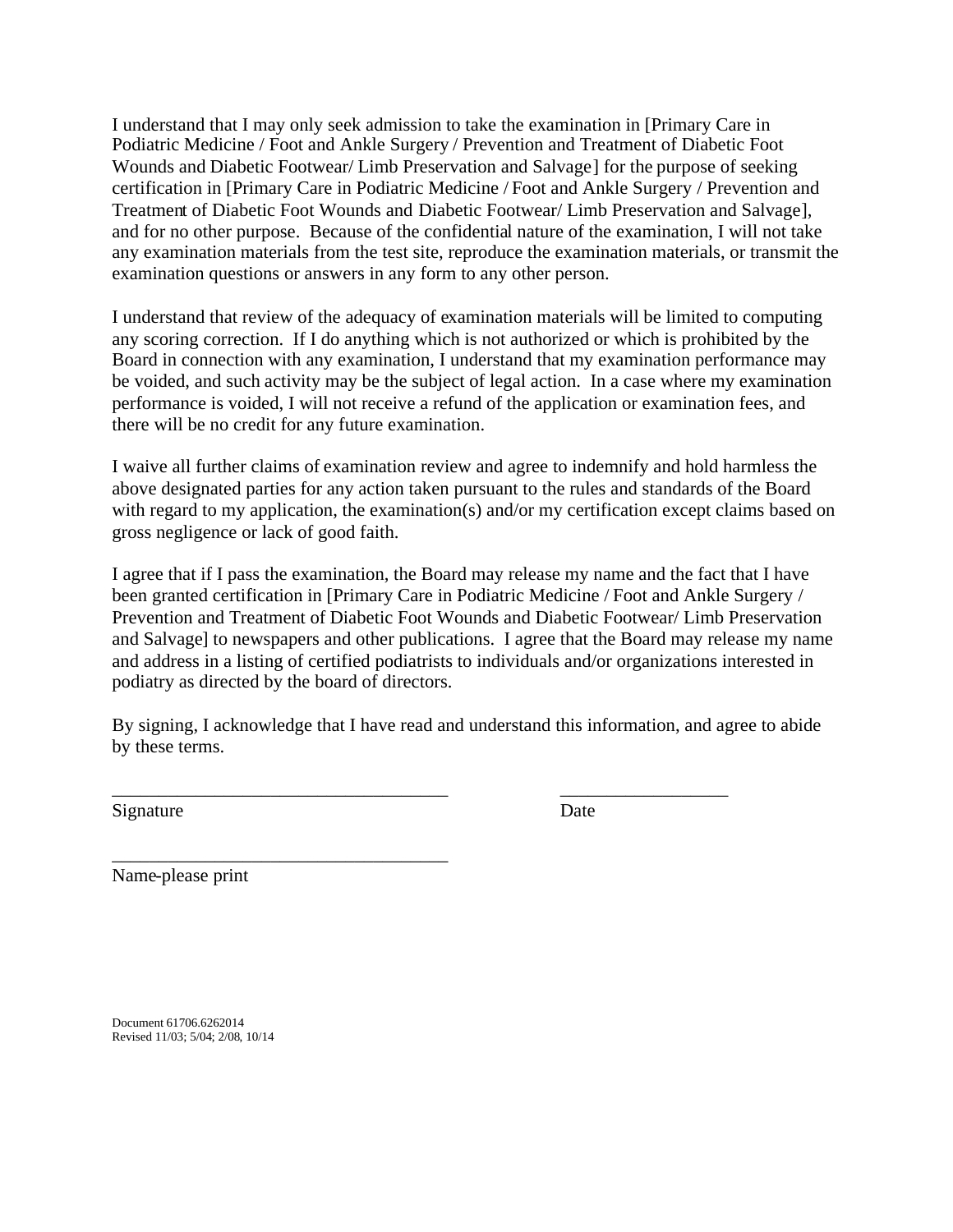I understand that I may only seek admission to take the examination in [Primary Care in Podiatric Medicine / Foot and Ankle Surgery / Prevention and Treatment of Diabetic Foot Wounds and Diabetic Footwear/ Limb Preservation and Salvage] for the purpose of seeking certification in [Primary Care in Podiatric Medicine / Foot and Ankle Surgery / Prevention and Treatment of Diabetic Foot Wounds and Diabetic Footwear/ Limb Preservation and Salvage], and for no other purpose. Because of the confidential nature of the examination, I will not take any examination materials from the test site, reproduce the examination materials, or transmit the examination questions or answers in any form to any other person.

I understand that review of the adequacy of examination materials will be limited to computing any scoring correction. If I do anything which is not authorized or which is prohibited by the Board in connection with any examination, I understand that my examination performance may be voided, and such activity may be the subject of legal action. In a case where my examination performance is voided, I will not receive a refund of the application or examination fees, and there will be no credit for any future examination.

I waive all further claims of examination review and agree to indemnify and hold harmless the above designated parties for any action taken pursuant to the rules and standards of the Board with regard to my application, the examination(s) and/or my certification except claims based on gross negligence or lack of good faith.

I agree that if I pass the examination, the Board may release my name and the fact that I have been granted certification in [Primary Care in Podiatric Medicine / Foot and Ankle Surgery / Prevention and Treatment of Diabetic Foot Wounds and Diabetic Footwear/ Limb Preservation and Salvage] to newspapers and other publications. I agree that the Board may release my name and address in a listing of certified podiatrists to individuals and/or organizations interested in podiatry as directed by the board of directors.

By signing, I acknowledge that I have read and understand this information, and agree to abide by these terms.

\_\_\_\_\_\_\_\_\_\_\_\_\_\_\_\_\_\_\_\_\_\_\_\_\_\_\_\_\_\_\_\_\_\_\_\_ \_\_\_\_\_\_\_\_\_\_\_\_\_\_\_\_\_\_

Signature Date

Name-please print

\_\_\_\_\_\_\_\_\_\_\_\_\_\_\_\_\_\_\_\_\_\_\_\_\_\_\_\_\_\_\_\_\_\_\_\_

Document 61706.6262014 Revised 11/03; 5/04; 2/08, 10/14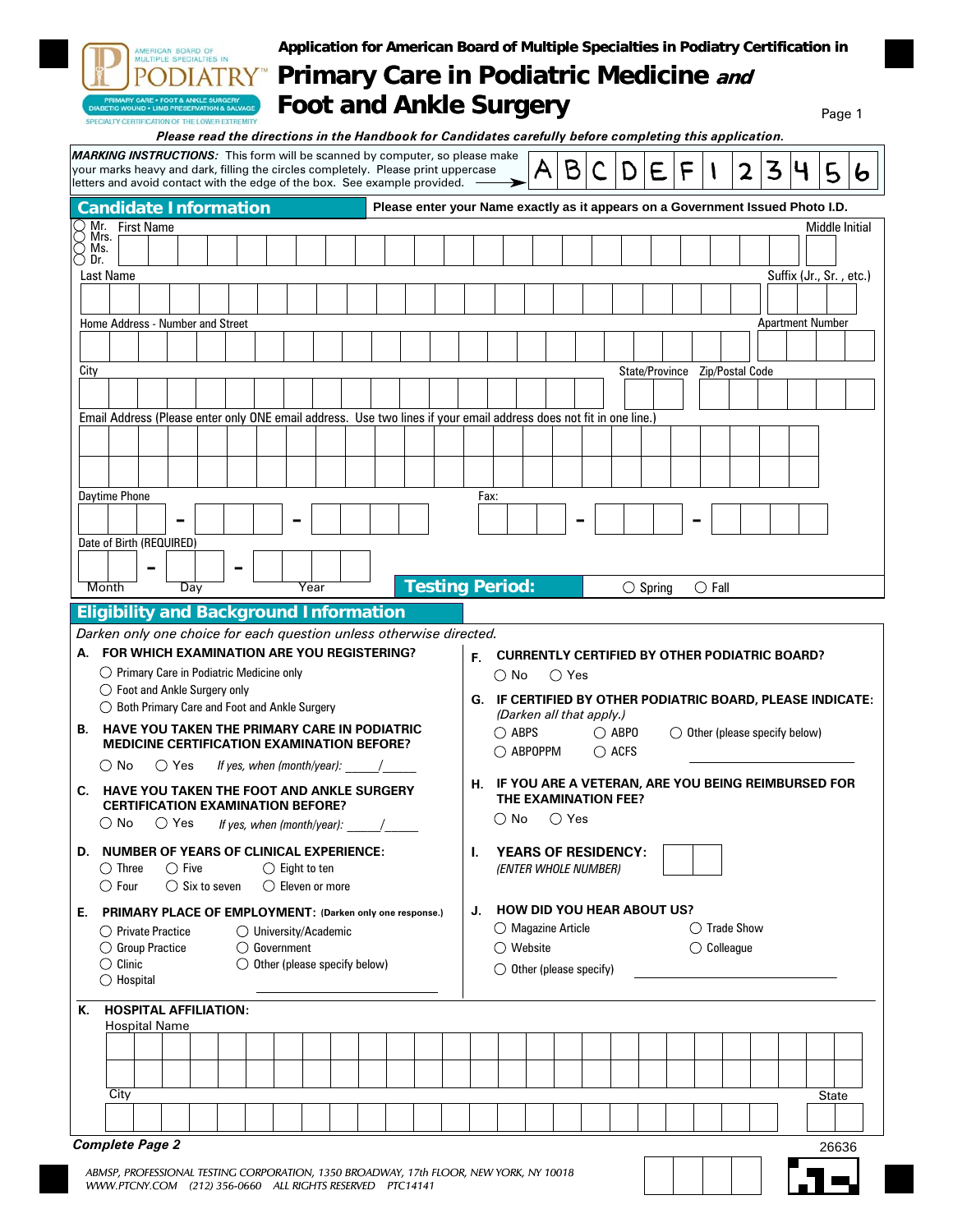|                        |                                                                                                             |                 |                                                | AMERICAN BOARD OF        | MULTIPLE SPECIALTIES IN                                                                                                                      |  |                                                                  |                                                                                                                        |  | Application for American Board of Multiple Specialties in Podiatry Certification in<br><b>Primary Care in Podiatric Medicine and</b>                                                                                                                 |    |                                                                                        |                                   |                |  |                |                   |                |                 |                       |   |                         |        |   |
|------------------------|-------------------------------------------------------------------------------------------------------------|-----------------|------------------------------------------------|--------------------------|----------------------------------------------------------------------------------------------------------------------------------------------|--|------------------------------------------------------------------|------------------------------------------------------------------------------------------------------------------------|--|------------------------------------------------------------------------------------------------------------------------------------------------------------------------------------------------------------------------------------------------------|----|----------------------------------------------------------------------------------------|-----------------------------------|----------------|--|----------------|-------------------|----------------|-----------------|-----------------------|---|-------------------------|--------|---|
|                        |                                                                                                             |                 |                                                |                          | RIMARY CARE . FOOT & ANKLE SURGER<br><b>ABETIC WOUND . LIMB PRESERVATION &amp; SALVAGE</b><br>SPECIALTY CERTIFICATION OF THE LOWER EXTREMITY |  |                                                                  |                                                                                                                        |  | <b>Foot and Ankle Surgery</b><br>Please read the directions in the Handbook for Candidates carefully before completing this application.                                                                                                             |    |                                                                                        |                                   |                |  |                |                   |                |                 |                       |   |                         | Page 1 |   |
|                        |                                                                                                             |                 |                                                |                          |                                                                                                                                              |  |                                                                  |                                                                                                                        |  | <b>MARKING INSTRUCTIONS:</b> This form will be scanned by computer, so please make<br>your marks heavy and dark, filling the circles completely. Please print uppercase<br>letters and avoid contact with the edge of the box. See example provided. |    |                                                                                        | A                                 | B              |  | D              | E                 | F              |                 | 2                     | 3 |                         | 5      | 6 |
|                        |                                                                                                             |                 |                                                |                          | <b>Candidate Information</b>                                                                                                                 |  |                                                                  |                                                                                                                        |  | Please enter your Name exactly as it appears on a Government Issued Photo I.D.                                                                                                                                                                       |    |                                                                                        |                                   |                |  |                |                   |                |                 |                       |   |                         |        |   |
| Mr. First Name<br>Mrs. |                                                                                                             |                 |                                                |                          |                                                                                                                                              |  |                                                                  |                                                                                                                        |  |                                                                                                                                                                                                                                                      |    |                                                                                        |                                   |                |  | Middle Initial |                   |                |                 |                       |   |                         |        |   |
|                        | Ms.<br>Dr.                                                                                                  |                 |                                                |                          |                                                                                                                                              |  |                                                                  |                                                                                                                        |  |                                                                                                                                                                                                                                                      |    |                                                                                        |                                   |                |  |                |                   |                |                 |                       |   |                         |        |   |
|                        | Last Name                                                                                                   |                 |                                                |                          |                                                                                                                                              |  |                                                                  |                                                                                                                        |  |                                                                                                                                                                                                                                                      |    |                                                                                        |                                   |                |  |                |                   |                |                 |                       |   | Suffix (Jr., Sr., etc.) |        |   |
|                        |                                                                                                             |                 |                                                |                          |                                                                                                                                              |  |                                                                  |                                                                                                                        |  |                                                                                                                                                                                                                                                      |    |                                                                                        |                                   |                |  |                |                   |                |                 |                       |   |                         |        |   |
|                        |                                                                                                             |                 |                                                |                          | Home Address - Number and Street                                                                                                             |  |                                                                  |                                                                                                                        |  |                                                                                                                                                                                                                                                      |    |                                                                                        |                                   |                |  |                |                   |                |                 |                       |   | <b>Apartment Number</b> |        |   |
|                        | City                                                                                                        |                 |                                                |                          |                                                                                                                                              |  |                                                                  |                                                                                                                        |  |                                                                                                                                                                                                                                                      |    |                                                                                        |                                   |                |  |                |                   | State/Province |                 | Zip/Postal Code       |   |                         |        |   |
|                        |                                                                                                             |                 |                                                |                          |                                                                                                                                              |  |                                                                  |                                                                                                                        |  |                                                                                                                                                                                                                                                      |    |                                                                                        |                                   |                |  |                |                   |                |                 |                       |   |                         |        |   |
|                        |                                                                                                             |                 |                                                |                          |                                                                                                                                              |  |                                                                  |                                                                                                                        |  | Email Address (Please enter only ONE email address. Use two lines if your email address does not fit in one line.)                                                                                                                                   |    |                                                                                        |                                   |                |  |                |                   |                |                 |                       |   |                         |        |   |
|                        |                                                                                                             |                 |                                                |                          |                                                                                                                                              |  |                                                                  |                                                                                                                        |  |                                                                                                                                                                                                                                                      |    |                                                                                        |                                   |                |  |                |                   |                |                 |                       |   |                         |        |   |
|                        |                                                                                                             |                 |                                                |                          |                                                                                                                                              |  |                                                                  |                                                                                                                        |  |                                                                                                                                                                                                                                                      |    |                                                                                        |                                   |                |  |                |                   |                |                 |                       |   |                         |        |   |
|                        |                                                                                                             |                 | Daytime Phone                                  |                          |                                                                                                                                              |  |                                                                  |                                                                                                                        |  |                                                                                                                                                                                                                                                      |    | Fax:                                                                                   |                                   |                |  |                |                   |                |                 |                       |   |                         |        |   |
|                        |                                                                                                             |                 |                                                | $\blacksquare$           |                                                                                                                                              |  |                                                                  |                                                                                                                        |  |                                                                                                                                                                                                                                                      |    |                                                                                        |                                   |                |  |                |                   |                |                 |                       |   |                         |        |   |
|                        |                                                                                                             |                 |                                                | Date of Birth (REQUIRED) |                                                                                                                                              |  |                                                                  |                                                                                                                        |  |                                                                                                                                                                                                                                                      |    |                                                                                        |                                   |                |  |                |                   |                |                 |                       |   |                         |        |   |
|                        | Month                                                                                                       |                 |                                                | Day                      |                                                                                                                                              |  |                                                                  | Year                                                                                                                   |  | <b>Testing Period:</b>                                                                                                                                                                                                                               |    |                                                                                        |                                   |                |  |                | $\bigcirc$ Spring |                | $\bigcirc$ Fall |                       |   |                         |        |   |
|                        |                                                                                                             |                 |                                                |                          | <b>Eligibility and Background Information</b>                                                                                                |  |                                                                  |                                                                                                                        |  |                                                                                                                                                                                                                                                      |    |                                                                                        |                                   |                |  |                |                   |                |                 |                       |   |                         |        |   |
|                        |                                                                                                             |                 |                                                |                          |                                                                                                                                              |  |                                                                  |                                                                                                                        |  | Darken only one choice for each question unless otherwise directed.                                                                                                                                                                                  |    |                                                                                        |                                   |                |  |                |                   |                |                 |                       |   |                         |        |   |
| А.                     |                                                                                                             |                 |                                                |                          | FOR WHICH EXAMINATION ARE YOU REGISTERING?<br>$\bigcirc$ Primary Care in Podiatric Medicine only                                             |  |                                                                  |                                                                                                                        |  |                                                                                                                                                                                                                                                      |    | <b>CURRENTLY CERTIFIED BY OTHER PODIATRIC BOARD?</b><br>F.<br>$\bigcirc$ No<br>◯ Yes   |                                   |                |  |                |                   |                |                 |                       |   |                         |        |   |
|                        |                                                                                                             |                 |                                                |                          | $\bigcirc$ Foot and Ankle Surgery only                                                                                                       |  |                                                                  |                                                                                                                        |  |                                                                                                                                                                                                                                                      |    |                                                                                        |                                   |                |  |                |                   |                |                 |                       |   |                         |        |   |
|                        |                                                                                                             |                 |                                                |                          | $\bigcirc$ Both Primary Care and Foot and Ankle Surgery                                                                                      |  |                                                                  |                                                                                                                        |  |                                                                                                                                                                                                                                                      |    | G. IF CERTIFIED BY OTHER PODIATRIC BOARD, PLEASE INDICATE:<br>(Darken all that apply.) |                                   |                |  |                |                   |                |                 |                       |   |                         |        |   |
|                        | <b>B. HAVE YOU TAKEN THE PRIMARY CARE IN PODIATRIC</b><br><b>MEDICINE CERTIFICATION EXAMINATION BEFORE?</b> |                 |                                                |                          |                                                                                                                                              |  |                                                                  | $\bigcirc$ ABPS<br>$\bigcirc$ ABPO<br>$\bigcirc$ Other (please specify below)<br>$\bigcirc$ ABPOPPM<br>$\bigcirc$ acfs |  |                                                                                                                                                                                                                                                      |    |                                                                                        |                                   |                |  |                |                   |                |                 |                       |   |                         |        |   |
|                        |                                                                                                             |                 |                                                |                          |                                                                                                                                              |  |                                                                  |                                                                                                                        |  |                                                                                                                                                                                                                                                      |    |                                                                                        |                                   |                |  |                |                   |                |                 |                       |   |                         |        |   |
|                        |                                                                                                             | $\bigcirc$ No   |                                                | $\bigcirc$ Yes           |                                                                                                                                              |  | If yes, when $(month/year)$ : /                                  |                                                                                                                        |  |                                                                                                                                                                                                                                                      |    |                                                                                        |                                   |                |  |                |                   |                |                 |                       |   |                         |        |   |
|                        |                                                                                                             |                 |                                                |                          | C. HAVE YOU TAKEN THE FOOT AND ANKLE SURGERY<br><b>CERTIFICATION EXAMINATION BEFORE?</b>                                                     |  |                                                                  |                                                                                                                        |  |                                                                                                                                                                                                                                                      |    | H. IF YOU ARE A VETERAN, ARE YOU BEING REIMBURSED FOR                                  | THE EXAMINATION FEE?              |                |  |                |                   |                |                 |                       |   |                         |        |   |
|                        |                                                                                                             | () No           |                                                | $\bigcirc$ Yes           |                                                                                                                                              |  | If yes, when (month/year): $/$                                   |                                                                                                                        |  |                                                                                                                                                                                                                                                      |    | $\bigcirc$ No                                                                          |                                   | $\bigcirc$ Yes |  |                |                   |                |                 |                       |   |                         |        |   |
|                        |                                                                                                             |                 |                                                |                          | D. NUMBER OF YEARS OF CLINICAL EXPERIENCE:                                                                                                   |  |                                                                  |                                                                                                                        |  |                                                                                                                                                                                                                                                      | L  |                                                                                        | <b>YEARS OF RESIDENCY:</b>        |                |  |                |                   |                |                 |                       |   |                         |        |   |
|                        |                                                                                                             | $\bigcirc$ Four | $\bigcirc$ Three                               | $\bigcirc$ Five          | $\bigcirc$ Six to seven                                                                                                                      |  | $\bigcirc$ Eight to ten<br>$\bigcirc$ Eleven or more             |                                                                                                                        |  |                                                                                                                                                                                                                                                      |    |                                                                                        | (ENTER WHOLE NUMBER)              |                |  |                |                   |                |                 |                       |   |                         |        |   |
|                        | Е.                                                                                                          |                 |                                                |                          |                                                                                                                                              |  |                                                                  |                                                                                                                        |  |                                                                                                                                                                                                                                                      | J. |                                                                                        | <b>HOW DID YOU HEAR ABOUT US?</b> |                |  |                |                   |                |                 |                       |   |                         |        |   |
|                        |                                                                                                             |                 | $\bigcirc$ Private Practice                    |                          | PRIMARY PLACE OF EMPLOYMENT: (Darken only one response.)                                                                                     |  | $\bigcirc$ University/Academic                                   |                                                                                                                        |  |                                                                                                                                                                                                                                                      |    |                                                                                        | $\bigcirc$ Magazine Article       |                |  |                |                   |                |                 | $\bigcirc$ Trade Show |   |                         |        |   |
|                        |                                                                                                             |                 | $\bigcirc$ Group Practice<br>$\bigcirc$ Clinic |                          |                                                                                                                                              |  | $\bigcirc$ Government<br>$\bigcirc$ Other (please specify below) |                                                                                                                        |  |                                                                                                                                                                                                                                                      |    |                                                                                        | $\bigcirc$ Website                |                |  |                |                   |                |                 | $\bigcirc$ Colleague  |   |                         |        |   |
|                        |                                                                                                             |                 | $\bigcirc$ Hospital                            |                          |                                                                                                                                              |  |                                                                  |                                                                                                                        |  |                                                                                                                                                                                                                                                      |    |                                                                                        | Other (please specify)            |                |  |                |                   |                |                 |                       |   |                         |        |   |
| К.                     |                                                                                                             |                 |                                                |                          | <b>HOSPITAL AFFILIATION:</b>                                                                                                                 |  |                                                                  |                                                                                                                        |  |                                                                                                                                                                                                                                                      |    |                                                                                        |                                   |                |  |                |                   |                |                 |                       |   |                         |        |   |
|                        |                                                                                                             |                 | <b>Hospital Name</b>                           |                          |                                                                                                                                              |  |                                                                  |                                                                                                                        |  |                                                                                                                                                                                                                                                      |    |                                                                                        |                                   |                |  |                |                   |                |                 |                       |   |                         |        |   |
|                        |                                                                                                             |                 |                                                |                          |                                                                                                                                              |  |                                                                  |                                                                                                                        |  |                                                                                                                                                                                                                                                      |    |                                                                                        |                                   |                |  |                |                   |                |                 |                       |   |                         |        |   |
|                        |                                                                                                             | City            |                                                |                          |                                                                                                                                              |  |                                                                  |                                                                                                                        |  |                                                                                                                                                                                                                                                      |    |                                                                                        |                                   |                |  |                |                   |                |                 |                       |   |                         | State  |   |
|                        |                                                                                                             |                 |                                                |                          |                                                                                                                                              |  |                                                                  |                                                                                                                        |  |                                                                                                                                                                                                                                                      |    |                                                                                        |                                   |                |  |                |                   |                |                 |                       |   |                         |        |   |